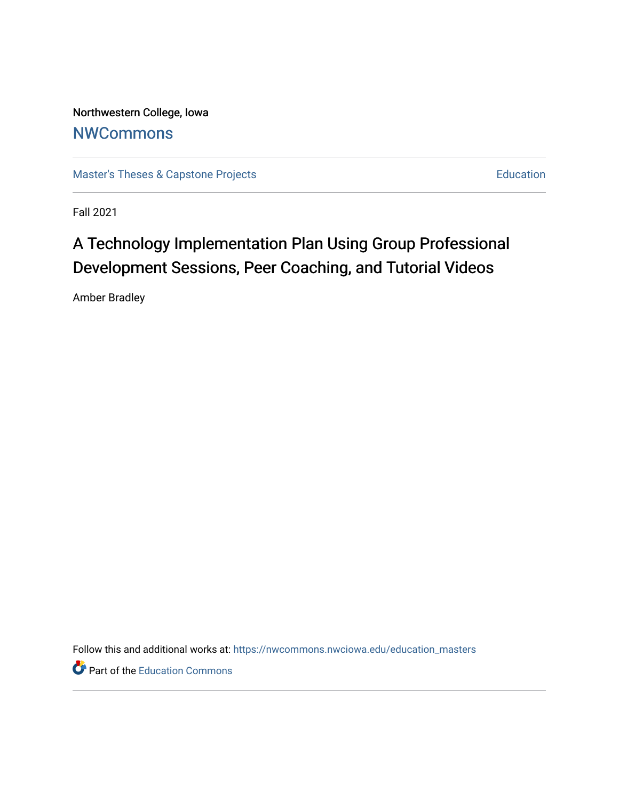Northwestern College, Iowa **[NWCommons](https://nwcommons.nwciowa.edu/)** 

[Master's Theses & Capstone Projects](https://nwcommons.nwciowa.edu/education_masters) **Education** Education

Fall 2021

# A Technology Implementation Plan Using Group Professional Development Sessions, Peer Coaching, and Tutorial Videos

Amber Bradley

Follow this and additional works at: [https://nwcommons.nwciowa.edu/education\\_masters](https://nwcommons.nwciowa.edu/education_masters?utm_source=nwcommons.nwciowa.edu%2Feducation_masters%2F364&utm_medium=PDF&utm_campaign=PDFCoverPages)

Part of the [Education Commons](http://network.bepress.com/hgg/discipline/784?utm_source=nwcommons.nwciowa.edu%2Feducation_masters%2F364&utm_medium=PDF&utm_campaign=PDFCoverPages)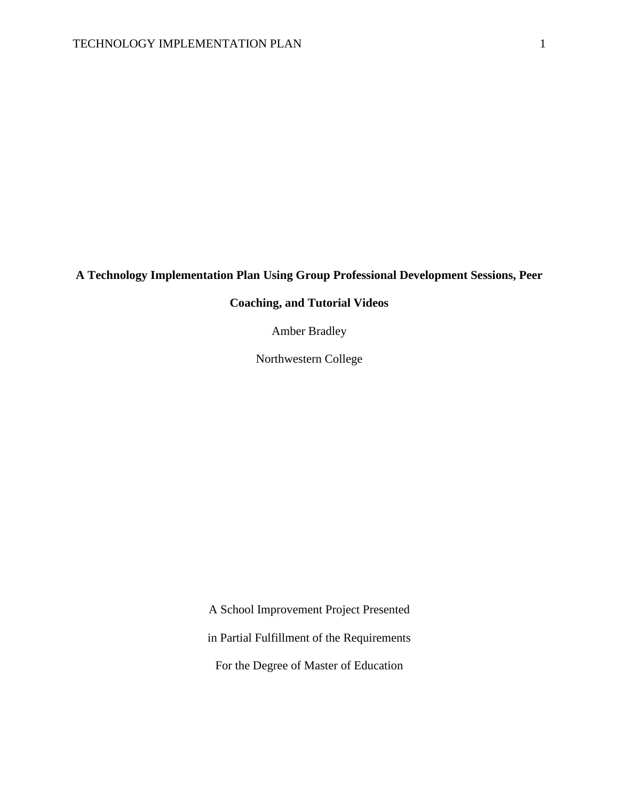### **A Technology Implementation Plan Using Group Professional Development Sessions, Peer**

### **Coaching, and Tutorial Videos**

Amber Bradley

Northwestern College

A School Improvement Project Presented

in Partial Fulfillment of the Requirements

For the Degree of Master of Education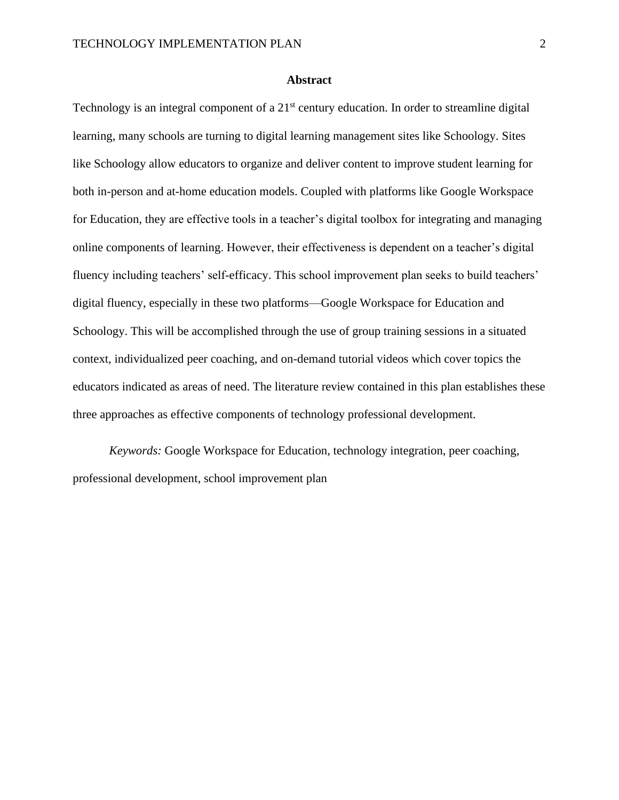#### **Abstract**

Technology is an integral component of a 21<sup>st</sup> century education. In order to streamline digital learning, many schools are turning to digital learning management sites like Schoology. Sites like Schoology allow educators to organize and deliver content to improve student learning for both in-person and at-home education models. Coupled with platforms like Google Workspace for Education, they are effective tools in a teacher's digital toolbox for integrating and managing online components of learning. However, their effectiveness is dependent on a teacher's digital fluency including teachers' self-efficacy. This school improvement plan seeks to build teachers' digital fluency, especially in these two platforms—Google Workspace for Education and Schoology. This will be accomplished through the use of group training sessions in a situated context, individualized peer coaching, and on-demand tutorial videos which cover topics the educators indicated as areas of need. The literature review contained in this plan establishes these three approaches as effective components of technology professional development.

*Keywords:* Google Workspace for Education, technology integration, peer coaching, professional development, school improvement plan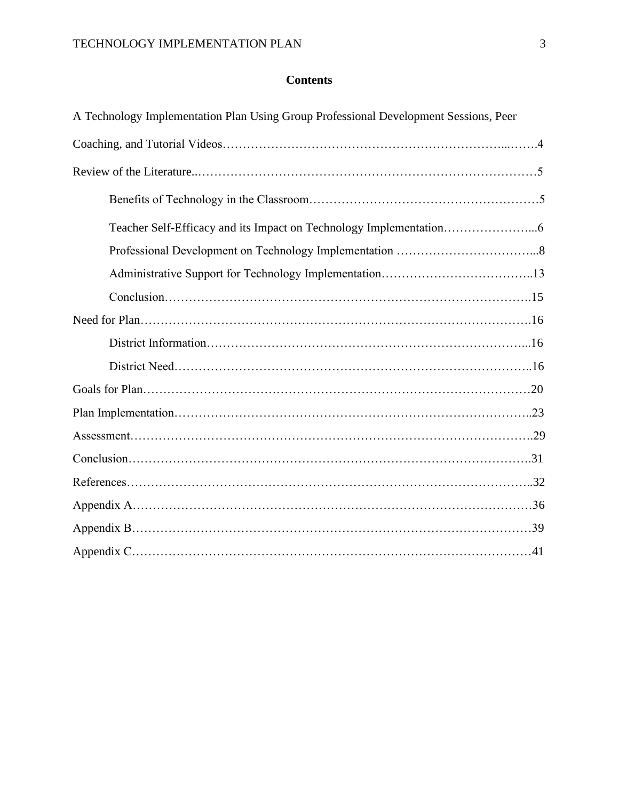### **Contents**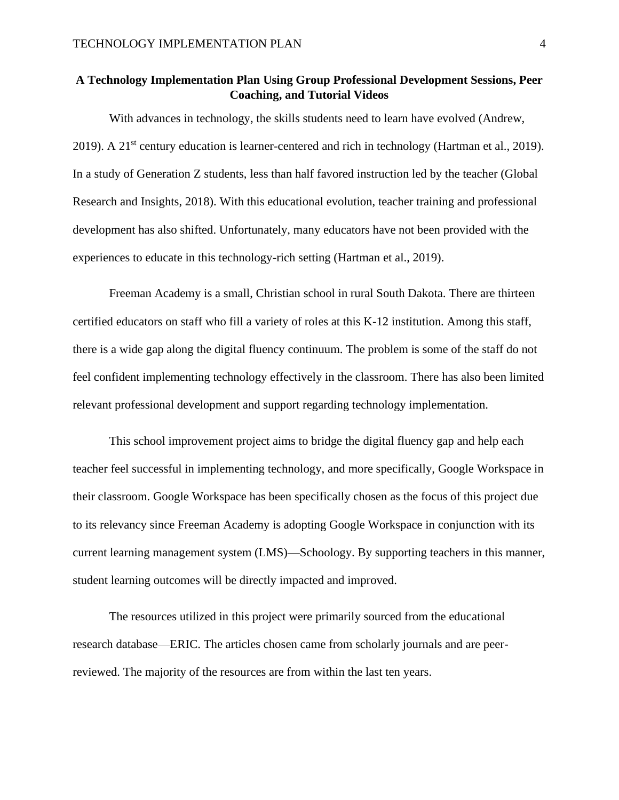### **A Technology Implementation Plan Using Group Professional Development Sessions, Peer Coaching, and Tutorial Videos**

With advances in technology, the skills students need to learn have evolved (Andrew, 2019). A 21<sup>st</sup> century education is learner-centered and rich in technology (Hartman et al., 2019). In a study of Generation Z students, less than half favored instruction led by the teacher (Global Research and Insights, 2018). With this educational evolution, teacher training and professional development has also shifted. Unfortunately, many educators have not been provided with the experiences to educate in this technology-rich setting (Hartman et al., 2019).

Freeman Academy is a small, Christian school in rural South Dakota. There are thirteen certified educators on staff who fill a variety of roles at this K-12 institution. Among this staff, there is a wide gap along the digital fluency continuum. The problem is some of the staff do not feel confident implementing technology effectively in the classroom. There has also been limited relevant professional development and support regarding technology implementation.

This school improvement project aims to bridge the digital fluency gap and help each teacher feel successful in implementing technology, and more specifically, Google Workspace in their classroom. Google Workspace has been specifically chosen as the focus of this project due to its relevancy since Freeman Academy is adopting Google Workspace in conjunction with its current learning management system (LMS)—Schoology. By supporting teachers in this manner, student learning outcomes will be directly impacted and improved.

The resources utilized in this project were primarily sourced from the educational research database—ERIC. The articles chosen came from scholarly journals and are peerreviewed. The majority of the resources are from within the last ten years.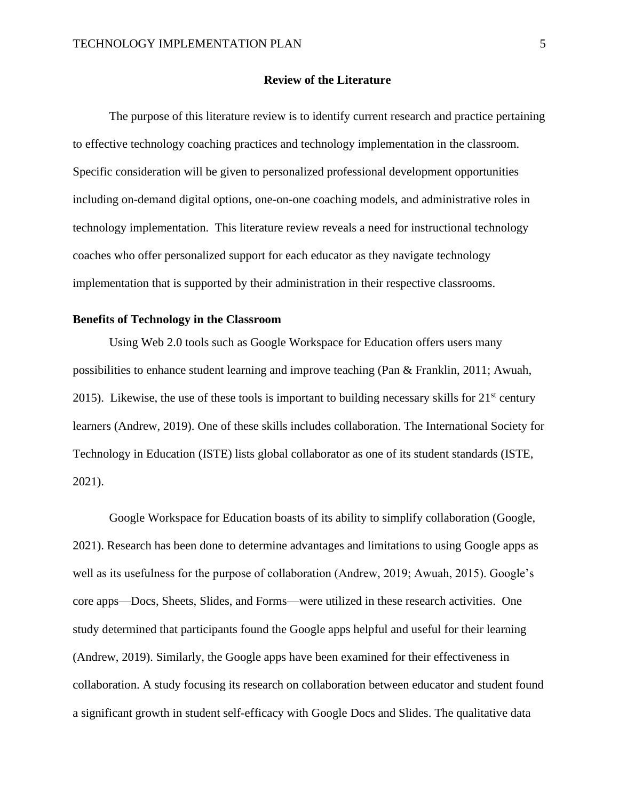#### **Review of the Literature**

The purpose of this literature review is to identify current research and practice pertaining to effective technology coaching practices and technology implementation in the classroom. Specific consideration will be given to personalized professional development opportunities including on-demand digital options, one-on-one coaching models, and administrative roles in technology implementation. This literature review reveals a need for instructional technology coaches who offer personalized support for each educator as they navigate technology implementation that is supported by their administration in their respective classrooms.

#### **Benefits of Technology in the Classroom**

Using Web 2.0 tools such as Google Workspace for Education offers users many possibilities to enhance student learning and improve teaching (Pan & Franklin, 2011; Awuah, 2015). Likewise, the use of these tools is important to building necessary skills for  $21<sup>st</sup>$  century learners (Andrew, 2019). One of these skills includes collaboration. The International Society for Technology in Education (ISTE) lists global collaborator as one of its student standards (ISTE, 2021).

Google Workspace for Education boasts of its ability to simplify collaboration (Google, 2021). Research has been done to determine advantages and limitations to using Google apps as well as its usefulness for the purpose of collaboration (Andrew, 2019; Awuah, 2015). Google's core apps—Docs, Sheets, Slides, and Forms—were utilized in these research activities. One study determined that participants found the Google apps helpful and useful for their learning (Andrew, 2019). Similarly, the Google apps have been examined for their effectiveness in collaboration. A study focusing its research on collaboration between educator and student found a significant growth in student self-efficacy with Google Docs and Slides. The qualitative data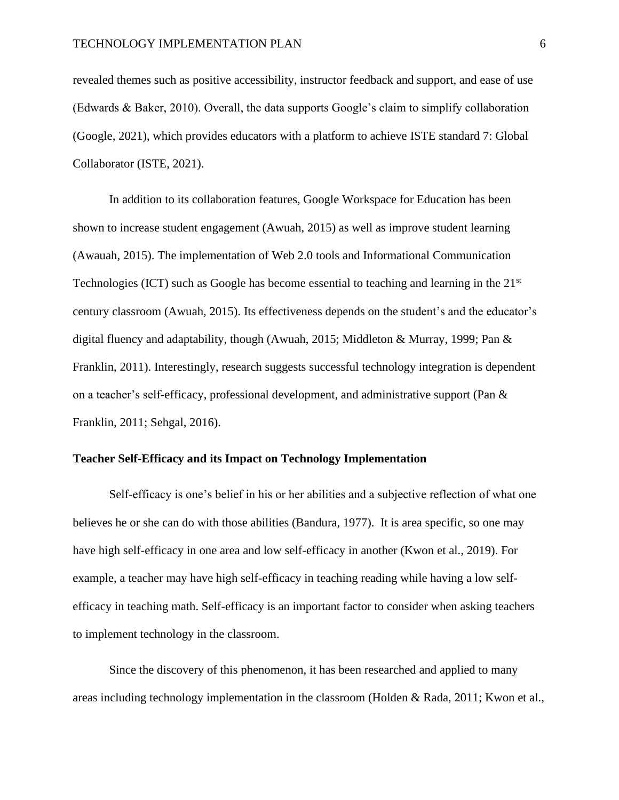revealed themes such as positive accessibility, instructor feedback and support, and ease of use (Edwards & Baker, 2010). Overall, the data supports Google's claim to simplify collaboration (Google, 2021), which provides educators with a platform to achieve ISTE standard 7: Global Collaborator (ISTE, 2021).

In addition to its collaboration features, Google Workspace for Education has been shown to increase student engagement (Awuah, 2015) as well as improve student learning (Awauah, 2015). The implementation of Web 2.0 tools and Informational Communication Technologies (ICT) such as Google has become essential to teaching and learning in the  $21<sup>st</sup>$ century classroom (Awuah, 2015). Its effectiveness depends on the student's and the educator's digital fluency and adaptability, though (Awuah, 2015; Middleton & Murray, 1999; Pan & Franklin, 2011). Interestingly, research suggests successful technology integration is dependent on a teacher's self-efficacy, professional development, and administrative support (Pan & Franklin, 2011; Sehgal, 2016).

#### **Teacher Self-Efficacy and its Impact on Technology Implementation**

Self-efficacy is one's belief in his or her abilities and a subjective reflection of what one believes he or she can do with those abilities (Bandura, 1977). It is area specific, so one may have high self-efficacy in one area and low self-efficacy in another (Kwon et al., 2019). For example, a teacher may have high self-efficacy in teaching reading while having a low selfefficacy in teaching math. Self-efficacy is an important factor to consider when asking teachers to implement technology in the classroom.

Since the discovery of this phenomenon, it has been researched and applied to many areas including technology implementation in the classroom (Holden & Rada, 2011; Kwon et al.,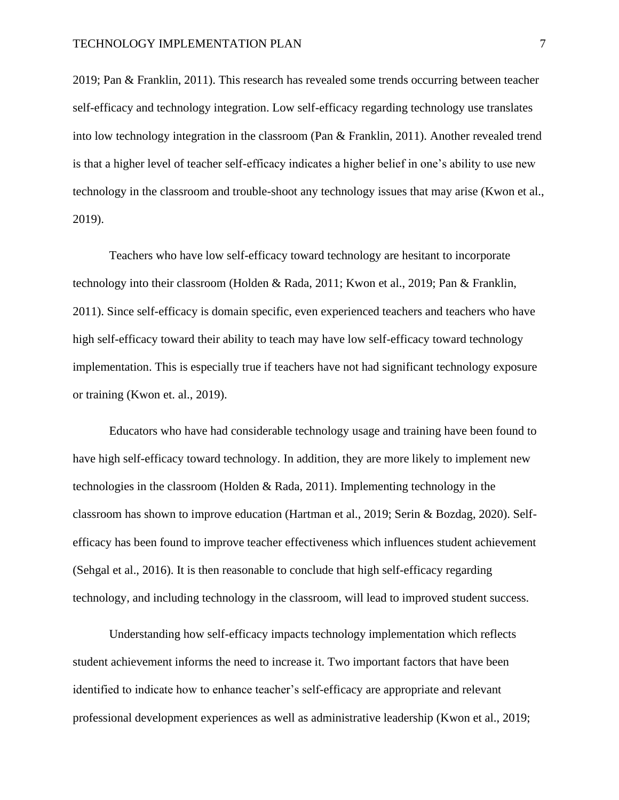2019; Pan & Franklin, 2011). This research has revealed some trends occurring between teacher self-efficacy and technology integration. Low self-efficacy regarding technology use translates into low technology integration in the classroom (Pan & Franklin, 2011). Another revealed trend is that a higher level of teacher self-efficacy indicates a higher belief in one's ability to use new technology in the classroom and trouble-shoot any technology issues that may arise (Kwon et al., 2019).

Teachers who have low self-efficacy toward technology are hesitant to incorporate technology into their classroom (Holden & Rada, 2011; Kwon et al., 2019; Pan & Franklin, 2011). Since self-efficacy is domain specific, even experienced teachers and teachers who have high self-efficacy toward their ability to teach may have low self-efficacy toward technology implementation. This is especially true if teachers have not had significant technology exposure or training (Kwon et. al., 2019).

Educators who have had considerable technology usage and training have been found to have high self-efficacy toward technology. In addition, they are more likely to implement new technologies in the classroom (Holden & Rada, 2011). Implementing technology in the classroom has shown to improve education (Hartman et al., 2019; Serin & Bozdag, 2020). Selfefficacy has been found to improve teacher effectiveness which influences student achievement (Sehgal et al., 2016). It is then reasonable to conclude that high self-efficacy regarding technology, and including technology in the classroom, will lead to improved student success.

Understanding how self-efficacy impacts technology implementation which reflects student achievement informs the need to increase it. Two important factors that have been identified to indicate how to enhance teacher's self-efficacy are appropriate and relevant professional development experiences as well as administrative leadership (Kwon et al., 2019;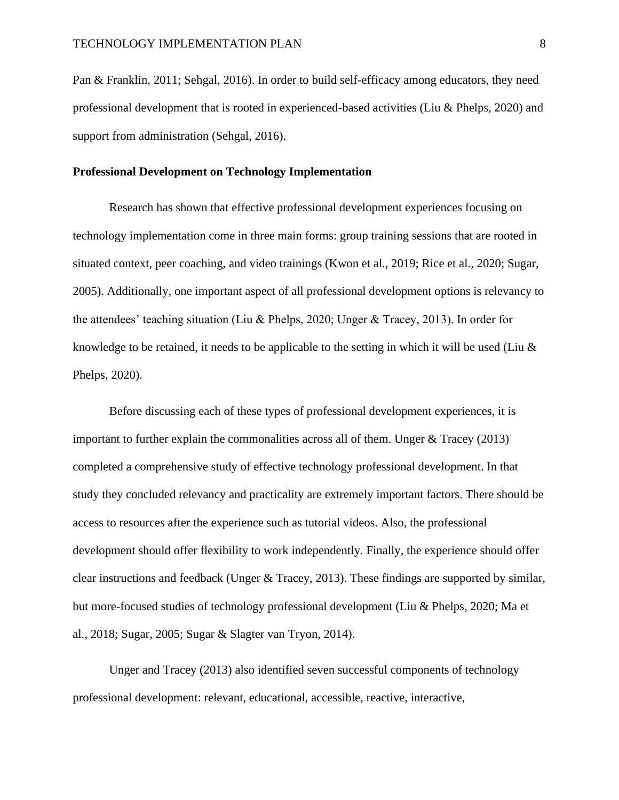Pan & Franklin, 2011; Sehgal, 2016). In order to build self-efficacy among educators, they need professional development that is rooted in experienced-based activities (Liu & Phelps, 2020) and support from administration (Sehgal, 2016).

#### **Professional Development on Technology Implementation**

Research has shown that effective professional development experiences focusing on technology implementation come in three main forms: group training sessions that are rooted in situated context, peer coaching, and video trainings (Kwon et al., 2019; Rice et al., 2020; Sugar, 2005). Additionally, one important aspect of all professional development options is relevancy to the attendees' teaching situation (Liu & Phelps, 2020; Unger & Tracey, 2013). In order for knowledge to be retained, it needs to be applicable to the setting in which it will be used (Liu & Phelps, 2020).

Before discussing each of these types of professional development experiences, it is important to further explain the commonalities across all of them. Unger & Tracey (2013) completed a comprehensive study of effective technology professional development. In that study they concluded relevancy and practicality are extremely important factors. There should be access to resources after the experience such as tutorial videos. Also, the professional development should offer flexibility to work independently. Finally, the experience should offer clear instructions and feedback (Unger & Tracey, 2013). These findings are supported by similar, but more-focused studies of technology professional development (Liu & Phelps, 2020; Ma et al., 2018; Sugar, 2005; Sugar & Slagter van Tryon, 2014).

Unger and Tracey (2013) also identified seven successful components of technology professional development: relevant, educational, accessible, reactive, interactive,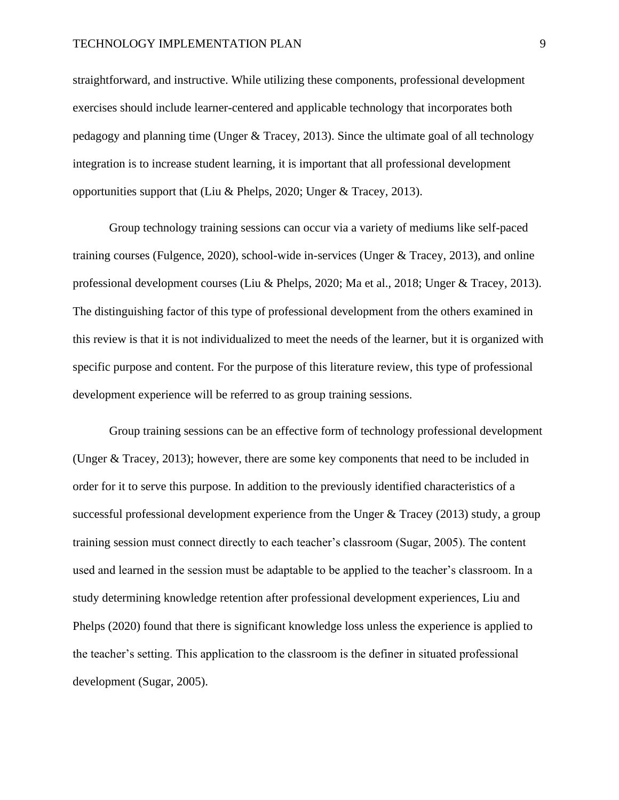#### TECHNOLOGY IMPLEMENTATION PLAN 99

straightforward, and instructive. While utilizing these components, professional development exercises should include learner-centered and applicable technology that incorporates both pedagogy and planning time (Unger & Tracey, 2013). Since the ultimate goal of all technology integration is to increase student learning, it is important that all professional development opportunities support that (Liu & Phelps, 2020; Unger & Tracey, 2013).

Group technology training sessions can occur via a variety of mediums like self-paced training courses (Fulgence, 2020), school-wide in-services (Unger & Tracey, 2013), and online professional development courses (Liu & Phelps, 2020; Ma et al., 2018; Unger & Tracey, 2013). The distinguishing factor of this type of professional development from the others examined in this review is that it is not individualized to meet the needs of the learner, but it is organized with specific purpose and content. For the purpose of this literature review, this type of professional development experience will be referred to as group training sessions.

Group training sessions can be an effective form of technology professional development (Unger & Tracey, 2013); however, there are some key components that need to be included in order for it to serve this purpose. In addition to the previously identified characteristics of a successful professional development experience from the Unger  $&$  Tracey (2013) study, a group training session must connect directly to each teacher's classroom (Sugar, 2005). The content used and learned in the session must be adaptable to be applied to the teacher's classroom. In a study determining knowledge retention after professional development experiences, Liu and Phelps (2020) found that there is significant knowledge loss unless the experience is applied to the teacher's setting. This application to the classroom is the definer in situated professional development (Sugar, 2005).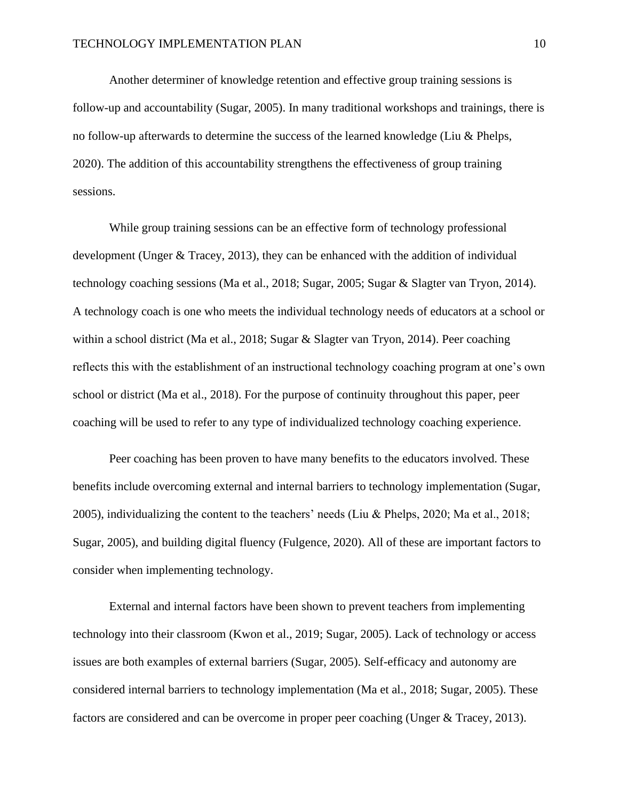Another determiner of knowledge retention and effective group training sessions is follow-up and accountability (Sugar, 2005). In many traditional workshops and trainings, there is no follow-up afterwards to determine the success of the learned knowledge (Liu & Phelps, 2020). The addition of this accountability strengthens the effectiveness of group training sessions.

While group training sessions can be an effective form of technology professional development (Unger & Tracey, 2013), they can be enhanced with the addition of individual technology coaching sessions (Ma et al., 2018; Sugar, 2005; Sugar & Slagter van Tryon, 2014). A technology coach is one who meets the individual technology needs of educators at a school or within a school district (Ma et al., 2018; Sugar & Slagter van Tryon, 2014). Peer coaching reflects this with the establishment of an instructional technology coaching program at one's own school or district (Ma et al., 2018). For the purpose of continuity throughout this paper, peer coaching will be used to refer to any type of individualized technology coaching experience.

Peer coaching has been proven to have many benefits to the educators involved. These benefits include overcoming external and internal barriers to technology implementation (Sugar, 2005), individualizing the content to the teachers' needs (Liu & Phelps, 2020; Ma et al., 2018; Sugar, 2005), and building digital fluency (Fulgence, 2020). All of these are important factors to consider when implementing technology.

External and internal factors have been shown to prevent teachers from implementing technology into their classroom (Kwon et al., 2019; Sugar, 2005). Lack of technology or access issues are both examples of external barriers (Sugar, 2005). Self-efficacy and autonomy are considered internal barriers to technology implementation (Ma et al., 2018; Sugar, 2005). These factors are considered and can be overcome in proper peer coaching (Unger & Tracey, 2013).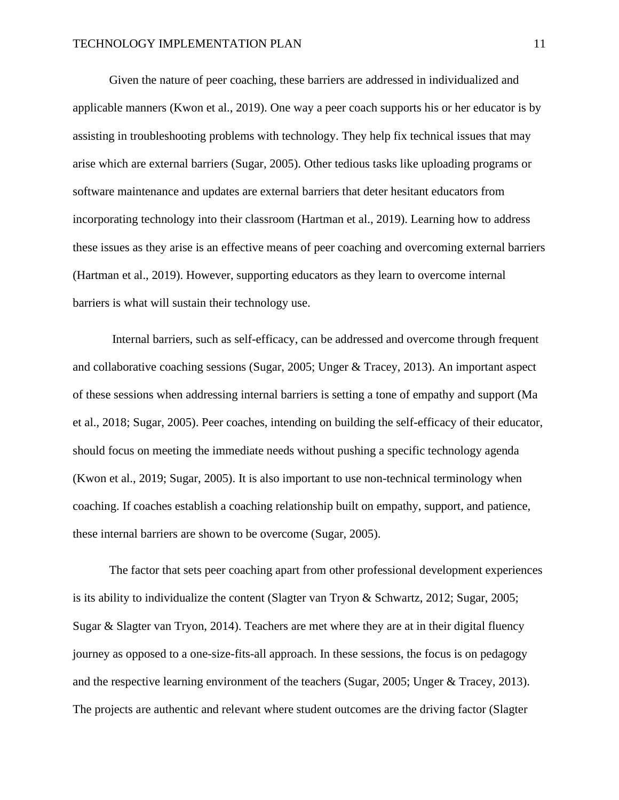Given the nature of peer coaching, these barriers are addressed in individualized and applicable manners (Kwon et al., 2019). One way a peer coach supports his or her educator is by assisting in troubleshooting problems with technology. They help fix technical issues that may arise which are external barriers (Sugar, 2005). Other tedious tasks like uploading programs or software maintenance and updates are external barriers that deter hesitant educators from incorporating technology into their classroom (Hartman et al., 2019). Learning how to address these issues as they arise is an effective means of peer coaching and overcoming external barriers (Hartman et al., 2019). However, supporting educators as they learn to overcome internal barriers is what will sustain their technology use.

Internal barriers, such as self-efficacy, can be addressed and overcome through frequent and collaborative coaching sessions (Sugar, 2005; Unger & Tracey, 2013). An important aspect of these sessions when addressing internal barriers is setting a tone of empathy and support (Ma et al., 2018; Sugar, 2005). Peer coaches, intending on building the self-efficacy of their educator, should focus on meeting the immediate needs without pushing a specific technology agenda (Kwon et al., 2019; Sugar, 2005). It is also important to use non-technical terminology when coaching. If coaches establish a coaching relationship built on empathy, support, and patience, these internal barriers are shown to be overcome (Sugar, 2005).

The factor that sets peer coaching apart from other professional development experiences is its ability to individualize the content (Slagter van Tryon  $\&$  Schwartz, 2012; Sugar, 2005; Sugar & Slagter van Tryon, 2014). Teachers are met where they are at in their digital fluency journey as opposed to a one-size-fits-all approach. In these sessions, the focus is on pedagogy and the respective learning environment of the teachers (Sugar, 2005; Unger & Tracey, 2013). The projects are authentic and relevant where student outcomes are the driving factor (Slagter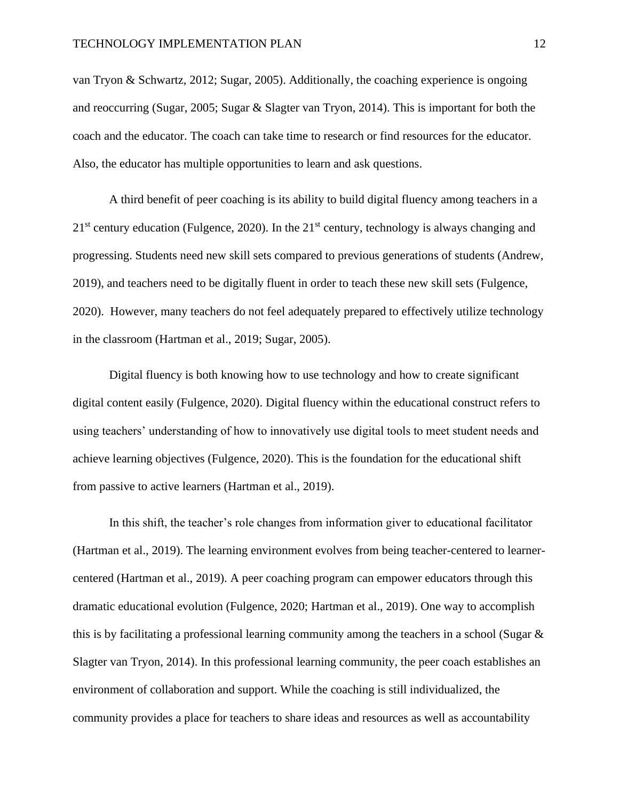van Tryon & Schwartz, 2012; Sugar, 2005). Additionally, the coaching experience is ongoing and reoccurring (Sugar, 2005; Sugar & Slagter van Tryon, 2014). This is important for both the coach and the educator. The coach can take time to research or find resources for the educator. Also, the educator has multiple opportunities to learn and ask questions.

A third benefit of peer coaching is its ability to build digital fluency among teachers in a  $21<sup>st</sup>$  century education (Fulgence, 2020). In the  $21<sup>st</sup>$  century, technology is always changing and progressing. Students need new skill sets compared to previous generations of students (Andrew, 2019), and teachers need to be digitally fluent in order to teach these new skill sets (Fulgence, 2020). However, many teachers do not feel adequately prepared to effectively utilize technology in the classroom (Hartman et al., 2019; Sugar, 2005).

Digital fluency is both knowing how to use technology and how to create significant digital content easily (Fulgence, 2020). Digital fluency within the educational construct refers to using teachers' understanding of how to innovatively use digital tools to meet student needs and achieve learning objectives (Fulgence, 2020). This is the foundation for the educational shift from passive to active learners (Hartman et al., 2019).

In this shift, the teacher's role changes from information giver to educational facilitator (Hartman et al., 2019). The learning environment evolves from being teacher-centered to learnercentered (Hartman et al., 2019). A peer coaching program can empower educators through this dramatic educational evolution (Fulgence, 2020; Hartman et al., 2019). One way to accomplish this is by facilitating a professional learning community among the teachers in a school (Sugar & Slagter van Tryon, 2014). In this professional learning community, the peer coach establishes an environment of collaboration and support. While the coaching is still individualized, the community provides a place for teachers to share ideas and resources as well as accountability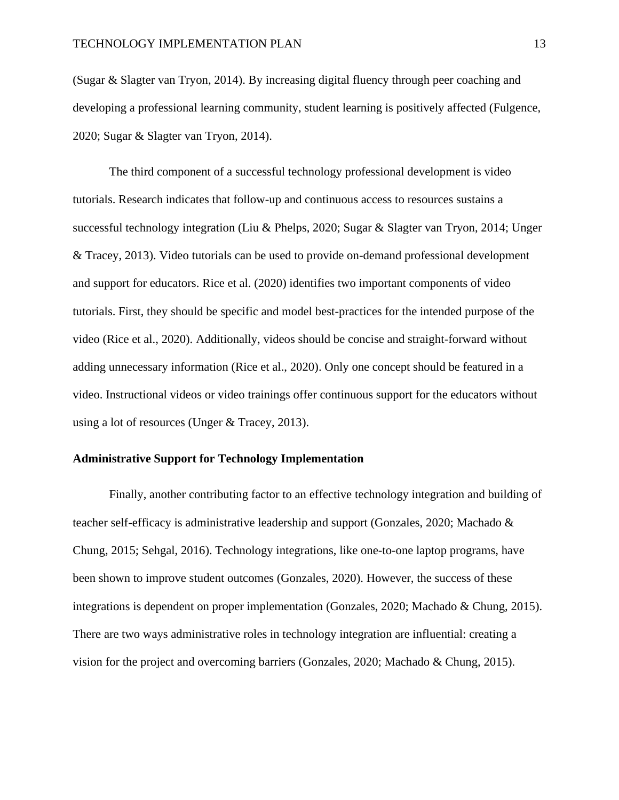(Sugar & Slagter van Tryon, 2014). By increasing digital fluency through peer coaching and developing a professional learning community, student learning is positively affected (Fulgence, 2020; Sugar & Slagter van Tryon, 2014).

The third component of a successful technology professional development is video tutorials. Research indicates that follow-up and continuous access to resources sustains a successful technology integration (Liu & Phelps, 2020; Sugar & Slagter van Tryon, 2014; Unger & Tracey, 2013). Video tutorials can be used to provide on-demand professional development and support for educators. Rice et al. (2020) identifies two important components of video tutorials. First, they should be specific and model best-practices for the intended purpose of the video (Rice et al., 2020). Additionally, videos should be concise and straight-forward without adding unnecessary information (Rice et al., 2020). Only one concept should be featured in a video. Instructional videos or video trainings offer continuous support for the educators without using a lot of resources (Unger & Tracey, 2013).

#### **Administrative Support for Technology Implementation**

Finally, another contributing factor to an effective technology integration and building of teacher self-efficacy is administrative leadership and support (Gonzales, 2020; Machado & Chung, 2015; Sehgal, 2016). Technology integrations, like one-to-one laptop programs, have been shown to improve student outcomes (Gonzales, 2020). However, the success of these integrations is dependent on proper implementation (Gonzales, 2020; Machado & Chung, 2015). There are two ways administrative roles in technology integration are influential: creating a vision for the project and overcoming barriers (Gonzales, 2020; Machado & Chung, 2015).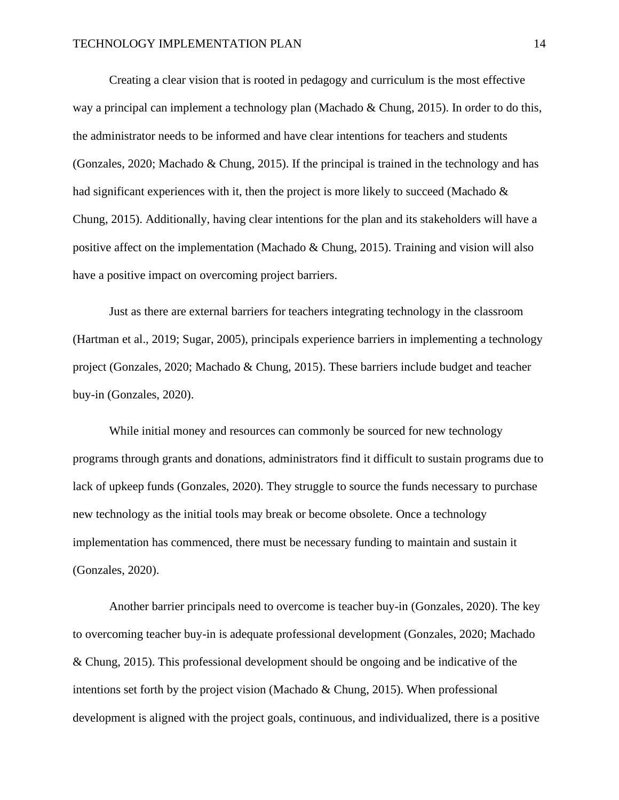Creating a clear vision that is rooted in pedagogy and curriculum is the most effective way a principal can implement a technology plan (Machado & Chung, 2015). In order to do this, the administrator needs to be informed and have clear intentions for teachers and students (Gonzales, 2020; Machado & Chung, 2015). If the principal is trained in the technology and has had significant experiences with it, then the project is more likely to succeed (Machado & Chung, 2015). Additionally, having clear intentions for the plan and its stakeholders will have a positive affect on the implementation (Machado & Chung, 2015). Training and vision will also have a positive impact on overcoming project barriers.

Just as there are external barriers for teachers integrating technology in the classroom (Hartman et al., 2019; Sugar, 2005), principals experience barriers in implementing a technology project (Gonzales, 2020; Machado & Chung, 2015). These barriers include budget and teacher buy-in (Gonzales, 2020).

While initial money and resources can commonly be sourced for new technology programs through grants and donations, administrators find it difficult to sustain programs due to lack of upkeep funds (Gonzales, 2020). They struggle to source the funds necessary to purchase new technology as the initial tools may break or become obsolete. Once a technology implementation has commenced, there must be necessary funding to maintain and sustain it (Gonzales, 2020).

Another barrier principals need to overcome is teacher buy-in (Gonzales, 2020). The key to overcoming teacher buy-in is adequate professional development (Gonzales, 2020; Machado & Chung, 2015). This professional development should be ongoing and be indicative of the intentions set forth by the project vision (Machado & Chung, 2015). When professional development is aligned with the project goals, continuous, and individualized, there is a positive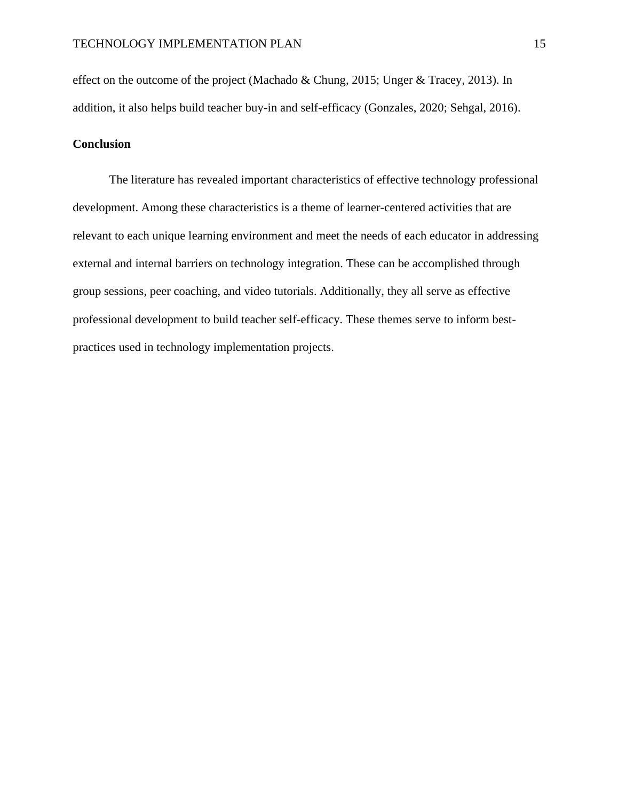effect on the outcome of the project (Machado & Chung, 2015; Unger & Tracey, 2013). In addition, it also helps build teacher buy-in and self-efficacy (Gonzales, 2020; Sehgal, 2016).

#### **Conclusion**

The literature has revealed important characteristics of effective technology professional development. Among these characteristics is a theme of learner-centered activities that are relevant to each unique learning environment and meet the needs of each educator in addressing external and internal barriers on technology integration. These can be accomplished through group sessions, peer coaching, and video tutorials. Additionally, they all serve as effective professional development to build teacher self-efficacy. These themes serve to inform bestpractices used in technology implementation projects.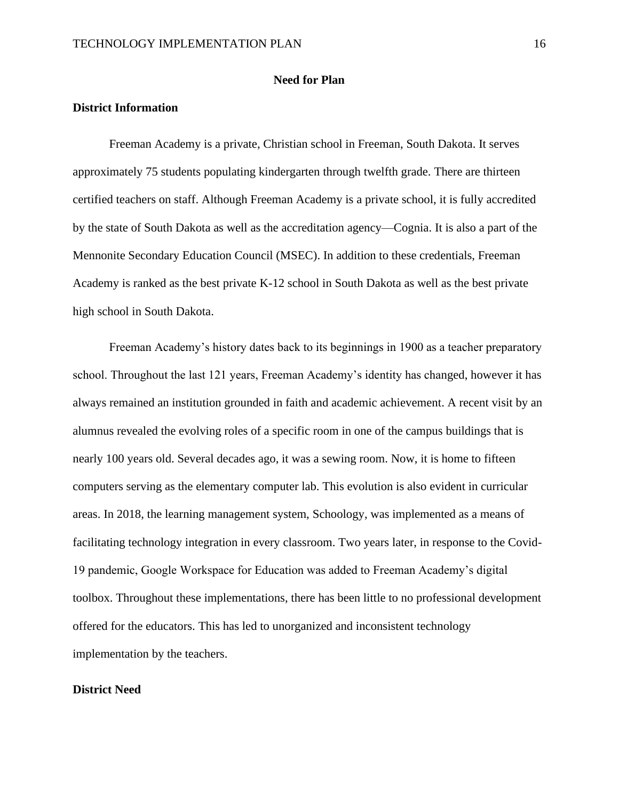#### **Need for Plan**

#### **District Information**

Freeman Academy is a private, Christian school in Freeman, South Dakota. It serves approximately 75 students populating kindergarten through twelfth grade. There are thirteen certified teachers on staff. Although Freeman Academy is a private school, it is fully accredited by the state of South Dakota as well as the accreditation agency—Cognia. It is also a part of the Mennonite Secondary Education Council (MSEC). In addition to these credentials, Freeman Academy is ranked as the best private K-12 school in South Dakota as well as the best private high school in South Dakota.

Freeman Academy's history dates back to its beginnings in 1900 as a teacher preparatory school. Throughout the last 121 years, Freeman Academy's identity has changed, however it has always remained an institution grounded in faith and academic achievement. A recent visit by an alumnus revealed the evolving roles of a specific room in one of the campus buildings that is nearly 100 years old. Several decades ago, it was a sewing room. Now, it is home to fifteen computers serving as the elementary computer lab. This evolution is also evident in curricular areas. In 2018, the learning management system, Schoology, was implemented as a means of facilitating technology integration in every classroom. Two years later, in response to the Covid-19 pandemic, Google Workspace for Education was added to Freeman Academy's digital toolbox. Throughout these implementations, there has been little to no professional development offered for the educators. This has led to unorganized and inconsistent technology implementation by the teachers.

#### **District Need**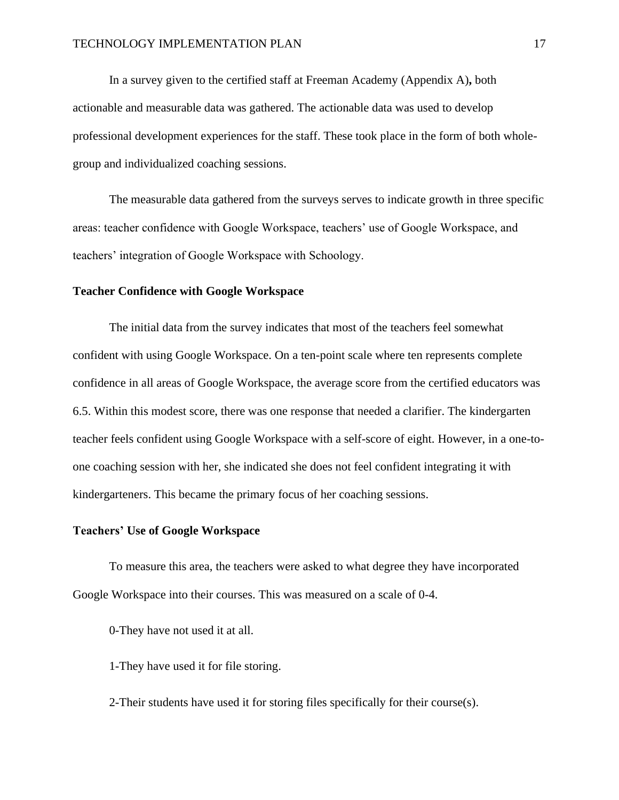In a survey given to the certified staff at Freeman Academy (Appendix A)**,** both actionable and measurable data was gathered. The actionable data was used to develop professional development experiences for the staff. These took place in the form of both wholegroup and individualized coaching sessions.

The measurable data gathered from the surveys serves to indicate growth in three specific areas: teacher confidence with Google Workspace, teachers' use of Google Workspace, and teachers' integration of Google Workspace with Schoology.

#### **Teacher Confidence with Google Workspace**

The initial data from the survey indicates that most of the teachers feel somewhat confident with using Google Workspace. On a ten-point scale where ten represents complete confidence in all areas of Google Workspace, the average score from the certified educators was 6.5. Within this modest score, there was one response that needed a clarifier. The kindergarten teacher feels confident using Google Workspace with a self-score of eight. However, in a one-toone coaching session with her, she indicated she does not feel confident integrating it with kindergarteners. This became the primary focus of her coaching sessions.

#### **Teachers' Use of Google Workspace**

To measure this area, the teachers were asked to what degree they have incorporated Google Workspace into their courses. This was measured on a scale of 0-4.

0-They have not used it at all.

1-They have used it for file storing.

2-Their students have used it for storing files specifically for their course(s).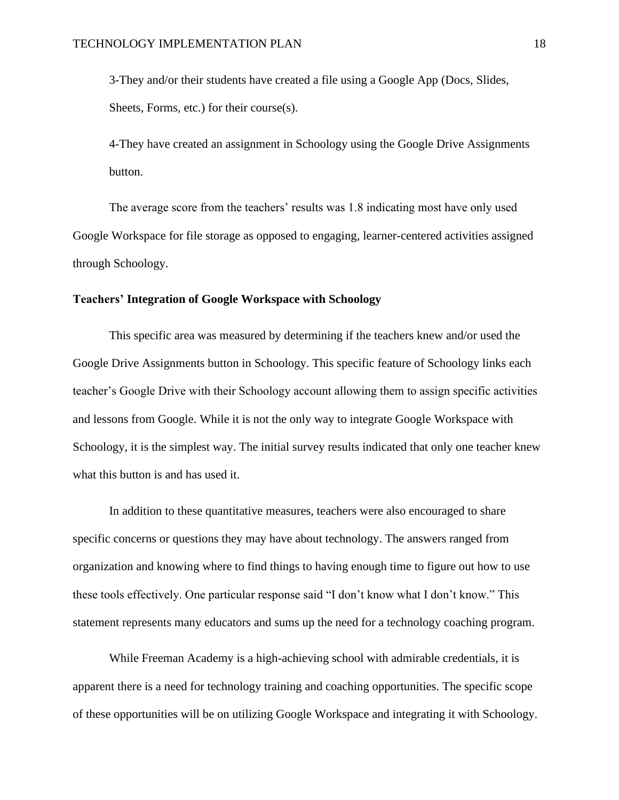3-They and/or their students have created a file using a Google App (Docs, Slides, Sheets, Forms, etc.) for their course(s).

4-They have created an assignment in Schoology using the Google Drive Assignments button.

The average score from the teachers' results was 1.8 indicating most have only used Google Workspace for file storage as opposed to engaging, learner-centered activities assigned through Schoology.

#### **Teachers' Integration of Google Workspace with Schoology**

This specific area was measured by determining if the teachers knew and/or used the Google Drive Assignments button in Schoology. This specific feature of Schoology links each teacher's Google Drive with their Schoology account allowing them to assign specific activities and lessons from Google. While it is not the only way to integrate Google Workspace with Schoology, it is the simplest way. The initial survey results indicated that only one teacher knew what this button is and has used it.

In addition to these quantitative measures, teachers were also encouraged to share specific concerns or questions they may have about technology. The answers ranged from organization and knowing where to find things to having enough time to figure out how to use these tools effectively. One particular response said "I don't know what I don't know." This statement represents many educators and sums up the need for a technology coaching program.

While Freeman Academy is a high-achieving school with admirable credentials, it is apparent there is a need for technology training and coaching opportunities. The specific scope of these opportunities will be on utilizing Google Workspace and integrating it with Schoology.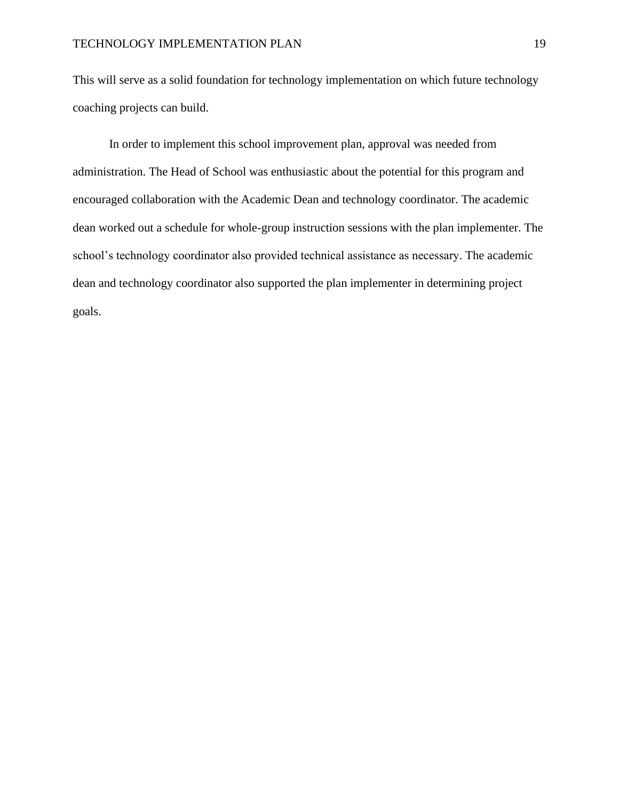This will serve as a solid foundation for technology implementation on which future technology coaching projects can build.

In order to implement this school improvement plan, approval was needed from administration. The Head of School was enthusiastic about the potential for this program and encouraged collaboration with the Academic Dean and technology coordinator. The academic dean worked out a schedule for whole-group instruction sessions with the plan implementer. The school's technology coordinator also provided technical assistance as necessary. The academic dean and technology coordinator also supported the plan implementer in determining project goals.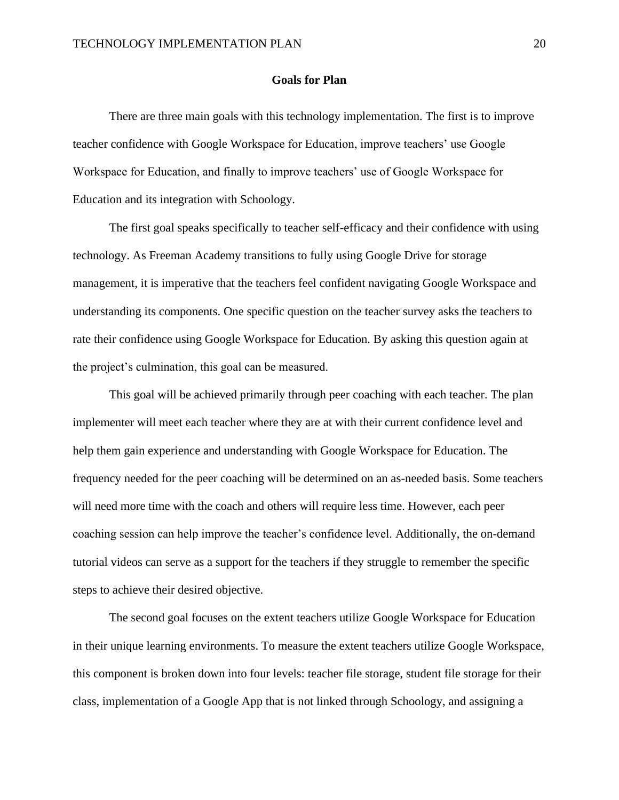#### **Goals for Plan**

There are three main goals with this technology implementation. The first is to improve teacher confidence with Google Workspace for Education, improve teachers' use Google Workspace for Education, and finally to improve teachers' use of Google Workspace for Education and its integration with Schoology.

The first goal speaks specifically to teacher self-efficacy and their confidence with using technology. As Freeman Academy transitions to fully using Google Drive for storage management, it is imperative that the teachers feel confident navigating Google Workspace and understanding its components. One specific question on the teacher survey asks the teachers to rate their confidence using Google Workspace for Education. By asking this question again at the project's culmination, this goal can be measured.

This goal will be achieved primarily through peer coaching with each teacher. The plan implementer will meet each teacher where they are at with their current confidence level and help them gain experience and understanding with Google Workspace for Education. The frequency needed for the peer coaching will be determined on an as-needed basis. Some teachers will need more time with the coach and others will require less time. However, each peer coaching session can help improve the teacher's confidence level. Additionally, the on-demand tutorial videos can serve as a support for the teachers if they struggle to remember the specific steps to achieve their desired objective.

The second goal focuses on the extent teachers utilize Google Workspace for Education in their unique learning environments. To measure the extent teachers utilize Google Workspace, this component is broken down into four levels: teacher file storage, student file storage for their class, implementation of a Google App that is not linked through Schoology, and assigning a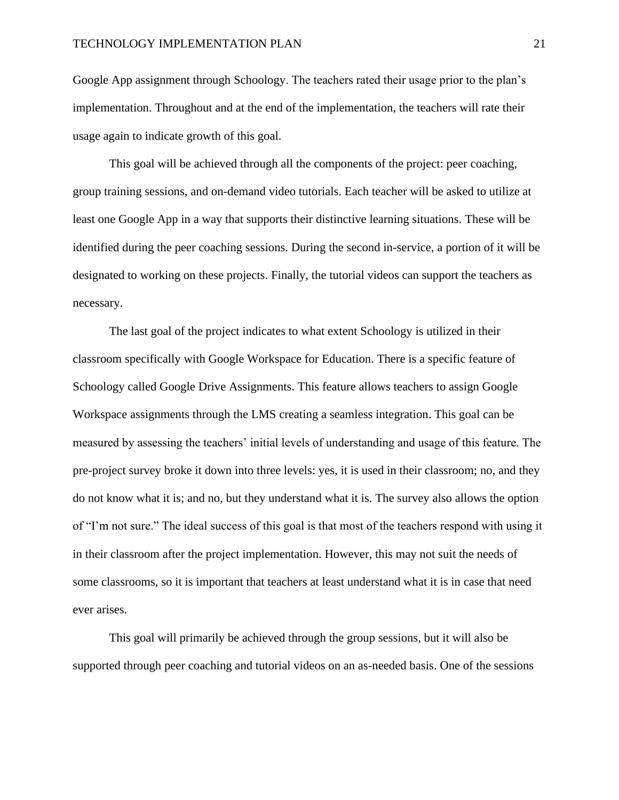Google App assignment through Schoology. The teachers rated their usage prior to the plan's implementation. Throughout and at the end of the implementation, the teachers will rate their usage again to indicate growth of this goal.

This goal will be achieved through all the components of the project: peer coaching, group training sessions, and on-demand video tutorials. Each teacher will be asked to utilize at least one Google App in a way that supports their distinctive learning situations. These will be identified during the peer coaching sessions. During the second in-service, a portion of it will be designated to working on these projects. Finally, the tutorial videos can support the teachers as necessary.

The last goal of the project indicates to what extent Schoology is utilized in their classroom specifically with Google Workspace for Education. There is a specific feature of Schoology called Google Drive Assignments. This feature allows teachers to assign Google Workspace assignments through the LMS creating a seamless integration. This goal can be measured by assessing the teachers' initial levels of understanding and usage of this feature. The pre-project survey broke it down into three levels: yes, it is used in their classroom; no, and they do not know what it is; and no, but they understand what it is. The survey also allows the option of "I'm not sure." The ideal success of this goal is that most of the teachers respond with using it in their classroom after the project implementation. However, this may not suit the needs of some classrooms, so it is important that teachers at least understand what it is in case that need ever arises.

This goal will primarily be achieved through the group sessions, but it will also be supported through peer coaching and tutorial videos on an as-needed basis. One of the sessions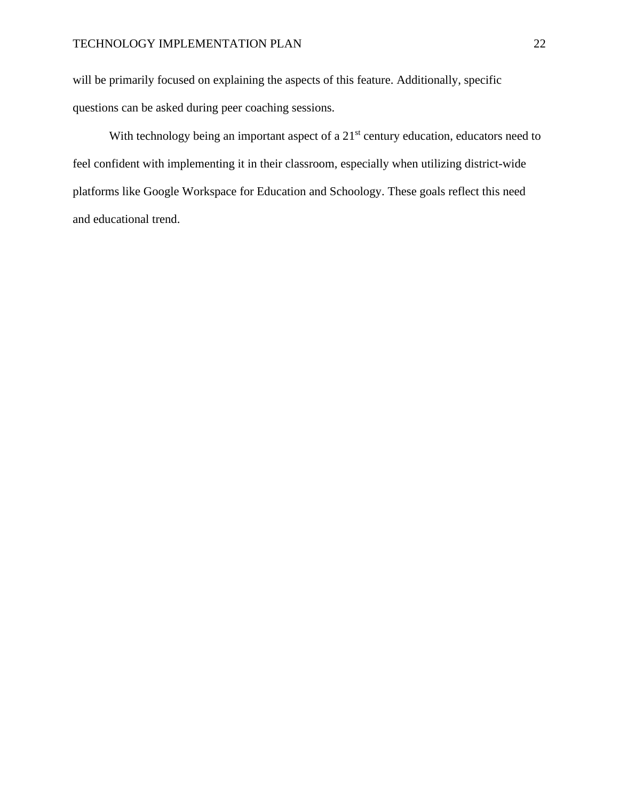will be primarily focused on explaining the aspects of this feature. Additionally, specific questions can be asked during peer coaching sessions.

With technology being an important aspect of a 21<sup>st</sup> century education, educators need to feel confident with implementing it in their classroom, especially when utilizing district-wide platforms like Google Workspace for Education and Schoology. These goals reflect this need and educational trend.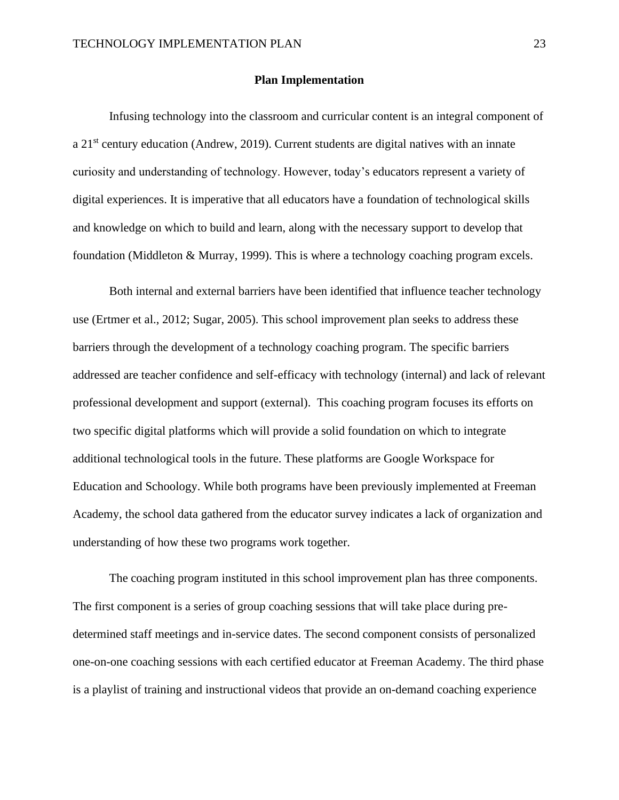#### **Plan Implementation**

Infusing technology into the classroom and curricular content is an integral component of a 21st century education (Andrew, 2019). Current students are digital natives with an innate curiosity and understanding of technology. However, today's educators represent a variety of digital experiences. It is imperative that all educators have a foundation of technological skills and knowledge on which to build and learn, along with the necessary support to develop that foundation (Middleton & Murray, 1999). This is where a technology coaching program excels.

Both internal and external barriers have been identified that influence teacher technology use (Ertmer et al., 2012; Sugar, 2005). This school improvement plan seeks to address these barriers through the development of a technology coaching program. The specific barriers addressed are teacher confidence and self-efficacy with technology (internal) and lack of relevant professional development and support (external). This coaching program focuses its efforts on two specific digital platforms which will provide a solid foundation on which to integrate additional technological tools in the future. These platforms are Google Workspace for Education and Schoology. While both programs have been previously implemented at Freeman Academy, the school data gathered from the educator survey indicates a lack of organization and understanding of how these two programs work together.

The coaching program instituted in this school improvement plan has three components. The first component is a series of group coaching sessions that will take place during predetermined staff meetings and in-service dates. The second component consists of personalized one-on-one coaching sessions with each certified educator at Freeman Academy. The third phase is a playlist of training and instructional videos that provide an on-demand coaching experience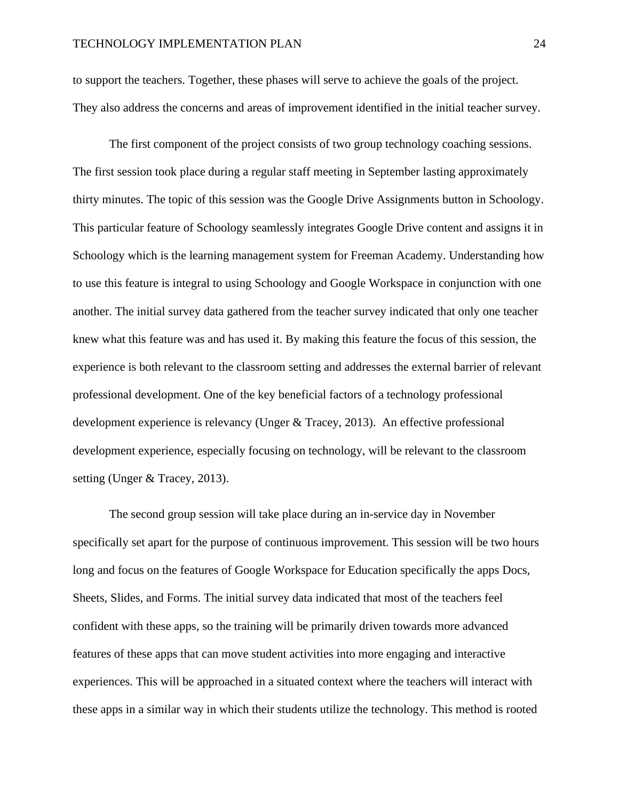to support the teachers. Together, these phases will serve to achieve the goals of the project. They also address the concerns and areas of improvement identified in the initial teacher survey.

The first component of the project consists of two group technology coaching sessions. The first session took place during a regular staff meeting in September lasting approximately thirty minutes. The topic of this session was the Google Drive Assignments button in Schoology. This particular feature of Schoology seamlessly integrates Google Drive content and assigns it in Schoology which is the learning management system for Freeman Academy. Understanding how to use this feature is integral to using Schoology and Google Workspace in conjunction with one another. The initial survey data gathered from the teacher survey indicated that only one teacher knew what this feature was and has used it. By making this feature the focus of this session, the experience is both relevant to the classroom setting and addresses the external barrier of relevant professional development. One of the key beneficial factors of a technology professional development experience is relevancy (Unger & Tracey, 2013). An effective professional development experience, especially focusing on technology, will be relevant to the classroom setting (Unger & Tracey, 2013).

The second group session will take place during an in-service day in November specifically set apart for the purpose of continuous improvement. This session will be two hours long and focus on the features of Google Workspace for Education specifically the apps Docs, Sheets, Slides, and Forms. The initial survey data indicated that most of the teachers feel confident with these apps, so the training will be primarily driven towards more advanced features of these apps that can move student activities into more engaging and interactive experiences. This will be approached in a situated context where the teachers will interact with these apps in a similar way in which their students utilize the technology. This method is rooted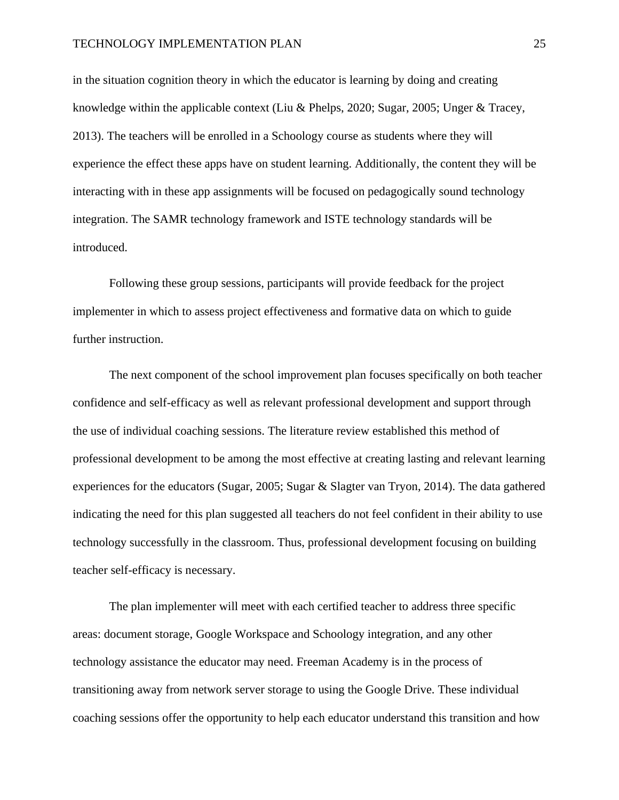#### TECHNOLOGY IMPLEMENTATION PLAN 25

in the situation cognition theory in which the educator is learning by doing and creating knowledge within the applicable context (Liu & Phelps, 2020; Sugar, 2005; Unger & Tracey, 2013). The teachers will be enrolled in a Schoology course as students where they will experience the effect these apps have on student learning. Additionally, the content they will be interacting with in these app assignments will be focused on pedagogically sound technology integration. The SAMR technology framework and ISTE technology standards will be introduced.

Following these group sessions, participants will provide feedback for the project implementer in which to assess project effectiveness and formative data on which to guide further instruction.

The next component of the school improvement plan focuses specifically on both teacher confidence and self-efficacy as well as relevant professional development and support through the use of individual coaching sessions. The literature review established this method of professional development to be among the most effective at creating lasting and relevant learning experiences for the educators (Sugar, 2005; Sugar & Slagter van Tryon, 2014). The data gathered indicating the need for this plan suggested all teachers do not feel confident in their ability to use technology successfully in the classroom. Thus, professional development focusing on building teacher self-efficacy is necessary.

The plan implementer will meet with each certified teacher to address three specific areas: document storage, Google Workspace and Schoology integration, and any other technology assistance the educator may need. Freeman Academy is in the process of transitioning away from network server storage to using the Google Drive. These individual coaching sessions offer the opportunity to help each educator understand this transition and how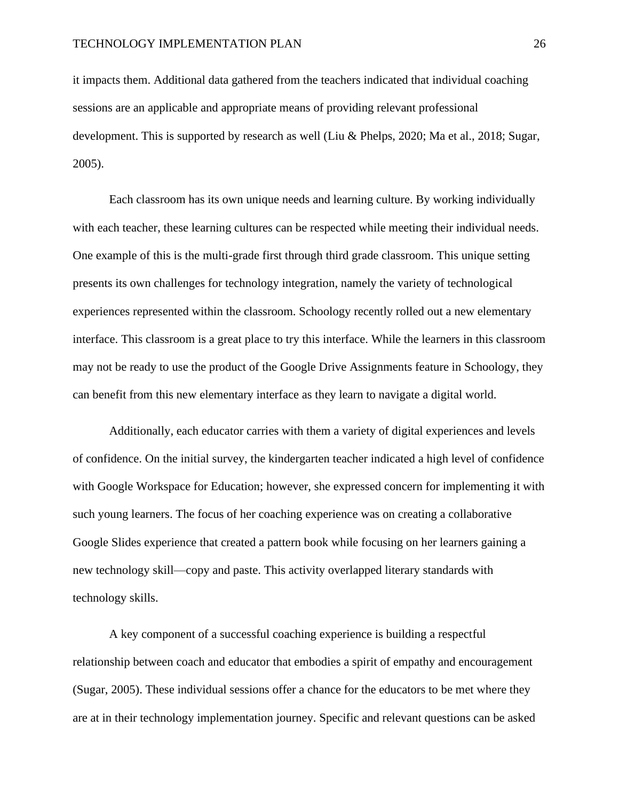it impacts them. Additional data gathered from the teachers indicated that individual coaching sessions are an applicable and appropriate means of providing relevant professional development. This is supported by research as well (Liu & Phelps, 2020; Ma et al., 2018; Sugar, 2005).

Each classroom has its own unique needs and learning culture. By working individually with each teacher, these learning cultures can be respected while meeting their individual needs. One example of this is the multi-grade first through third grade classroom. This unique setting presents its own challenges for technology integration, namely the variety of technological experiences represented within the classroom. Schoology recently rolled out a new elementary interface. This classroom is a great place to try this interface. While the learners in this classroom may not be ready to use the product of the Google Drive Assignments feature in Schoology, they can benefit from this new elementary interface as they learn to navigate a digital world.

Additionally, each educator carries with them a variety of digital experiences and levels of confidence. On the initial survey, the kindergarten teacher indicated a high level of confidence with Google Workspace for Education; however, she expressed concern for implementing it with such young learners. The focus of her coaching experience was on creating a collaborative Google Slides experience that created a pattern book while focusing on her learners gaining a new technology skill—copy and paste. This activity overlapped literary standards with technology skills.

A key component of a successful coaching experience is building a respectful relationship between coach and educator that embodies a spirit of empathy and encouragement (Sugar, 2005). These individual sessions offer a chance for the educators to be met where they are at in their technology implementation journey. Specific and relevant questions can be asked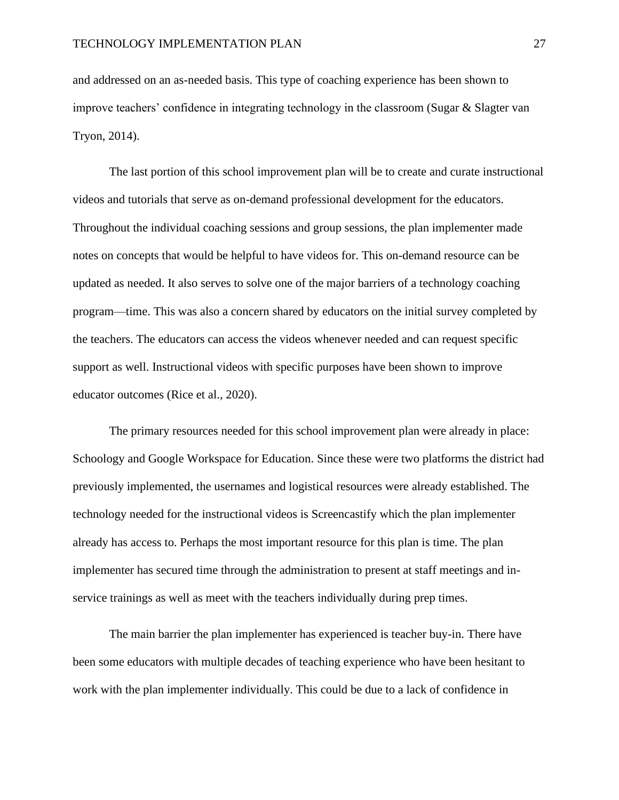and addressed on an as-needed basis. This type of coaching experience has been shown to improve teachers' confidence in integrating technology in the classroom (Sugar  $\&$  Slagter van Tryon, 2014).

The last portion of this school improvement plan will be to create and curate instructional videos and tutorials that serve as on-demand professional development for the educators. Throughout the individual coaching sessions and group sessions, the plan implementer made notes on concepts that would be helpful to have videos for. This on-demand resource can be updated as needed. It also serves to solve one of the major barriers of a technology coaching program—time. This was also a concern shared by educators on the initial survey completed by the teachers. The educators can access the videos whenever needed and can request specific support as well. Instructional videos with specific purposes have been shown to improve educator outcomes (Rice et al., 2020).

The primary resources needed for this school improvement plan were already in place: Schoology and Google Workspace for Education. Since these were two platforms the district had previously implemented, the usernames and logistical resources were already established. The technology needed for the instructional videos is Screencastify which the plan implementer already has access to. Perhaps the most important resource for this plan is time. The plan implementer has secured time through the administration to present at staff meetings and inservice trainings as well as meet with the teachers individually during prep times.

The main barrier the plan implementer has experienced is teacher buy-in. There have been some educators with multiple decades of teaching experience who have been hesitant to work with the plan implementer individually. This could be due to a lack of confidence in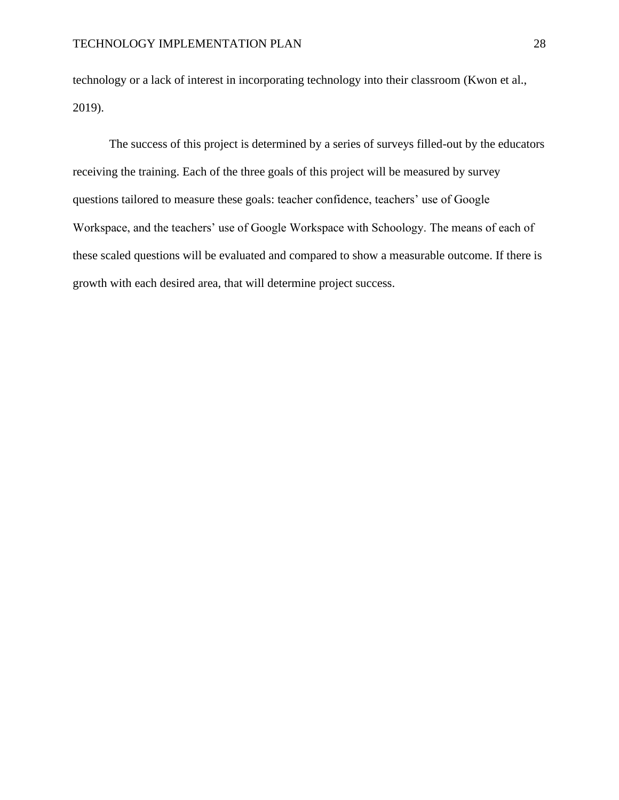technology or a lack of interest in incorporating technology into their classroom (Kwon et al., 2019).

The success of this project is determined by a series of surveys filled-out by the educators receiving the training. Each of the three goals of this project will be measured by survey questions tailored to measure these goals: teacher confidence, teachers' use of Google Workspace, and the teachers' use of Google Workspace with Schoology. The means of each of these scaled questions will be evaluated and compared to show a measurable outcome. If there is growth with each desired area, that will determine project success.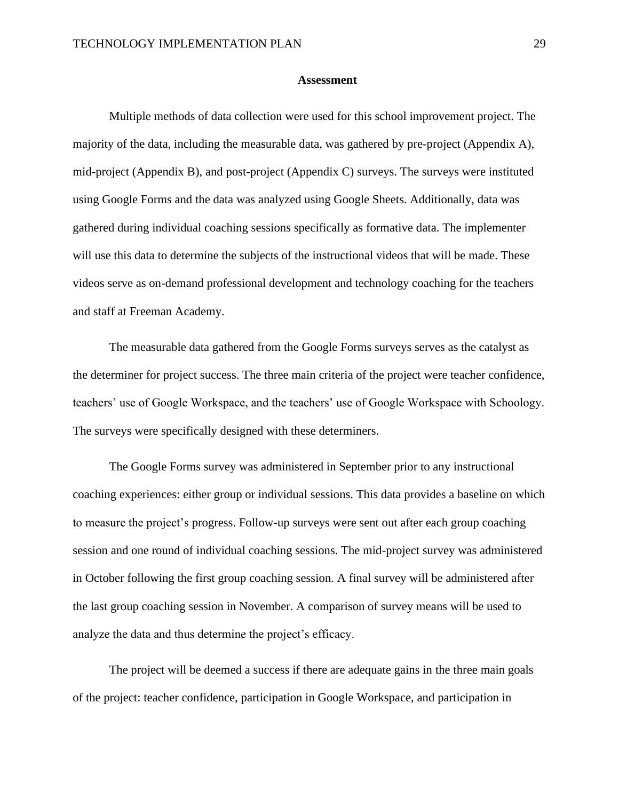#### **Assessment**

Multiple methods of data collection were used for this school improvement project. The majority of the data, including the measurable data, was gathered by pre-project (Appendix A), mid-project (Appendix B), and post-project (Appendix C) surveys. The surveys were instituted using Google Forms and the data was analyzed using Google Sheets. Additionally, data was gathered during individual coaching sessions specifically as formative data. The implementer will use this data to determine the subjects of the instructional videos that will be made. These videos serve as on-demand professional development and technology coaching for the teachers and staff at Freeman Academy.

The measurable data gathered from the Google Forms surveys serves as the catalyst as the determiner for project success. The three main criteria of the project were teacher confidence, teachers' use of Google Workspace, and the teachers' use of Google Workspace with Schoology. The surveys were specifically designed with these determiners.

The Google Forms survey was administered in September prior to any instructional coaching experiences: either group or individual sessions. This data provides a baseline on which to measure the project's progress. Follow-up surveys were sent out after each group coaching session and one round of individual coaching sessions. The mid-project survey was administered in October following the first group coaching session. A final survey will be administered after the last group coaching session in November. A comparison of survey means will be used to analyze the data and thus determine the project's efficacy.

The project will be deemed a success if there are adequate gains in the three main goals of the project: teacher confidence, participation in Google Workspace, and participation in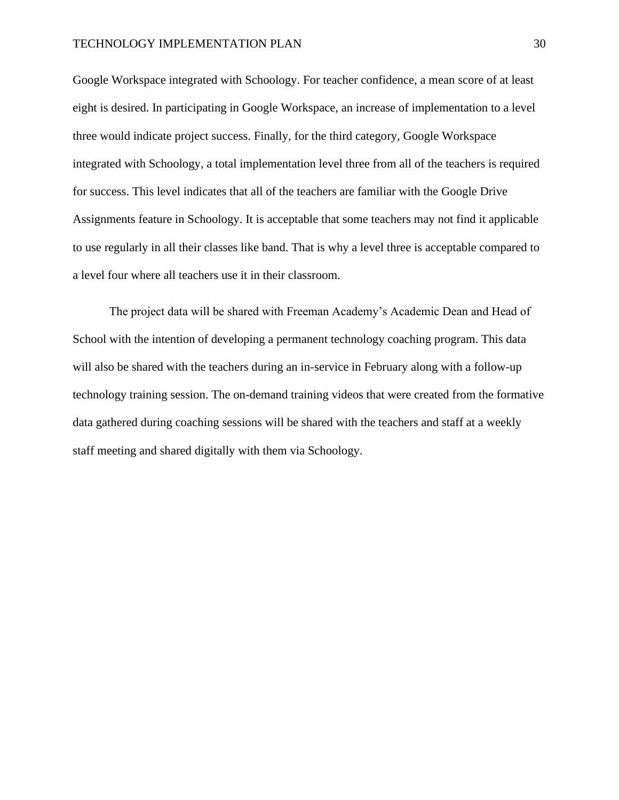#### TECHNOLOGY IMPLEMENTATION PLAN 30

Google Workspace integrated with Schoology. For teacher confidence, a mean score of at least eight is desired. In participating in Google Workspace, an increase of implementation to a level three would indicate project success. Finally, for the third category, Google Workspace integrated with Schoology, a total implementation level three from all of the teachers is required for success. This level indicates that all of the teachers are familiar with the Google Drive Assignments feature in Schoology. It is acceptable that some teachers may not find it applicable to use regularly in all their classes like band. That is why a level three is acceptable compared to a level four where all teachers use it in their classroom.

The project data will be shared with Freeman Academy's Academic Dean and Head of School with the intention of developing a permanent technology coaching program. This data will also be shared with the teachers during an in-service in February along with a follow-up technology training session. The on-demand training videos that were created from the formative data gathered during coaching sessions will be shared with the teachers and staff at a weekly staff meeting and shared digitally with them via Schoology.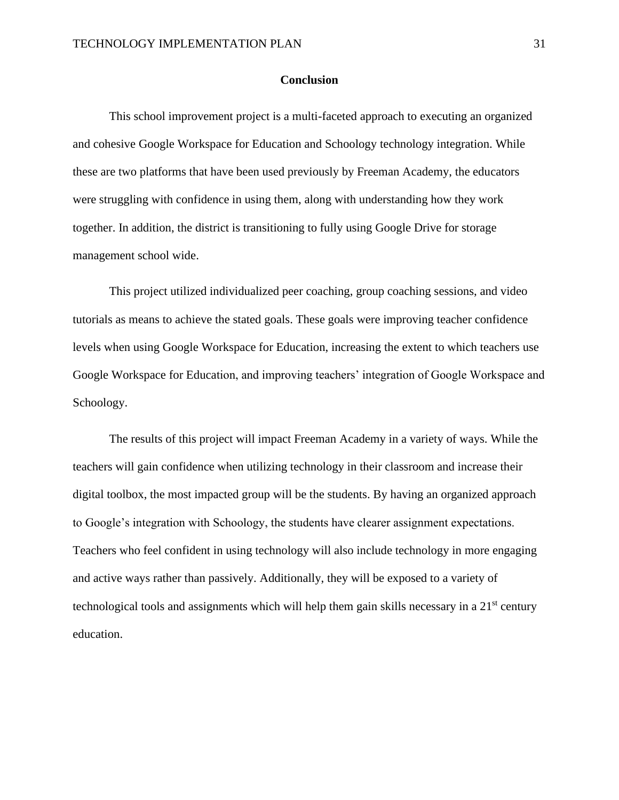#### **Conclusion**

This school improvement project is a multi-faceted approach to executing an organized and cohesive Google Workspace for Education and Schoology technology integration. While these are two platforms that have been used previously by Freeman Academy, the educators were struggling with confidence in using them, along with understanding how they work together. In addition, the district is transitioning to fully using Google Drive for storage management school wide.

This project utilized individualized peer coaching, group coaching sessions, and video tutorials as means to achieve the stated goals. These goals were improving teacher confidence levels when using Google Workspace for Education, increasing the extent to which teachers use Google Workspace for Education, and improving teachers' integration of Google Workspace and Schoology.

The results of this project will impact Freeman Academy in a variety of ways. While the teachers will gain confidence when utilizing technology in their classroom and increase their digital toolbox, the most impacted group will be the students. By having an organized approach to Google's integration with Schoology, the students have clearer assignment expectations. Teachers who feel confident in using technology will also include technology in more engaging and active ways rather than passively. Additionally, they will be exposed to a variety of technological tools and assignments which will help them gain skills necessary in a  $21<sup>st</sup>$  century education.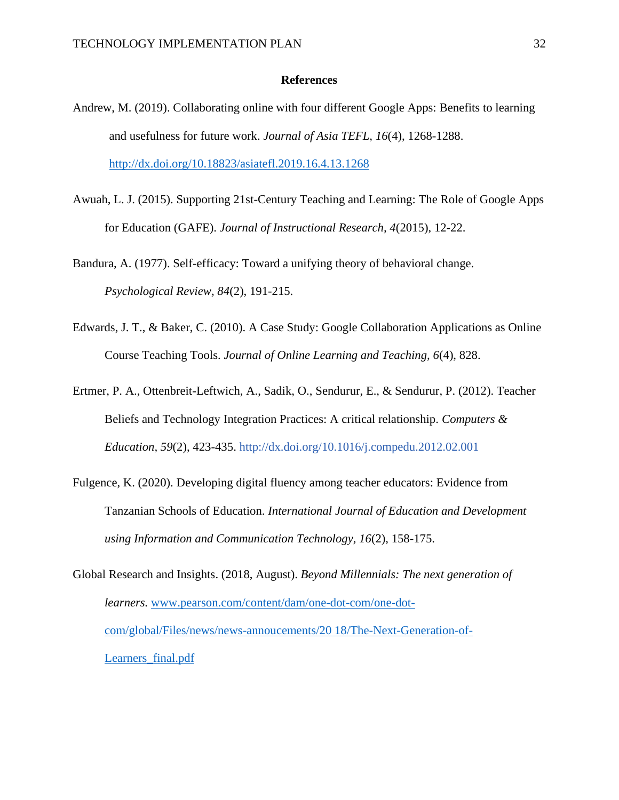#### **References**

- Andrew, M. (2019). Collaborating online with four different Google Apps: Benefits to learning and usefulness for future work. *Journal of Asia TEFL, 16*(4), 1268-1288. <http://dx.doi.org/10.18823/asiatefl.2019.16.4.13.1268>
- Awuah, L. J. (2015). Supporting 21st-Century Teaching and Learning: The Role of Google Apps for Education (GAFE). *Journal of Instructional Research, 4*(2015), 12-22.

Bandura, A. (1977). Self-efficacy: Toward a unifying theory of behavioral change. *Psychological Review, 84*(2), 191-215.

- Edwards, J. T., & Baker, C. (2010). A Case Study: Google Collaboration Applications as Online Course Teaching Tools. *Journal of Online Learning and Teaching, 6*(4), 828.
- Ertmer, P. A., Ottenbreit-Leftwich, A., Sadik, O., Sendurur, E., & Sendurur, P. (2012). Teacher Beliefs and Technology Integration Practices: A critical relationship. *Computers & Education, 59*(2), 423-435. <http://dx.doi.org/10.1016/j.compedu.2012.02.001>
- Fulgence, K. (2020). Developing digital fluency among teacher educators: Evidence from Tanzanian Schools of Education. *International Journal of Education and Development using Information and Communication Technology, 16*(2), 158-175.
- Global Research and Insights. (2018, August). *Beyond Millennials: The next generation of learners.* [www.pearson.com/content/dam/one-dot-com/one-dot](http://www.pearson.com/content/dam/one-dot-com/one-dot-com/global/Files/news/news-annoucements/20%2018/The-Next-Generation-of-Learners_final.pdf)[com/global/Files/news/news-annoucements/20 18/The-Next-Generation-of-](http://www.pearson.com/content/dam/one-dot-com/one-dot-com/global/Files/news/news-annoucements/20%2018/The-Next-Generation-of-Learners_final.pdf)Learners final.pdf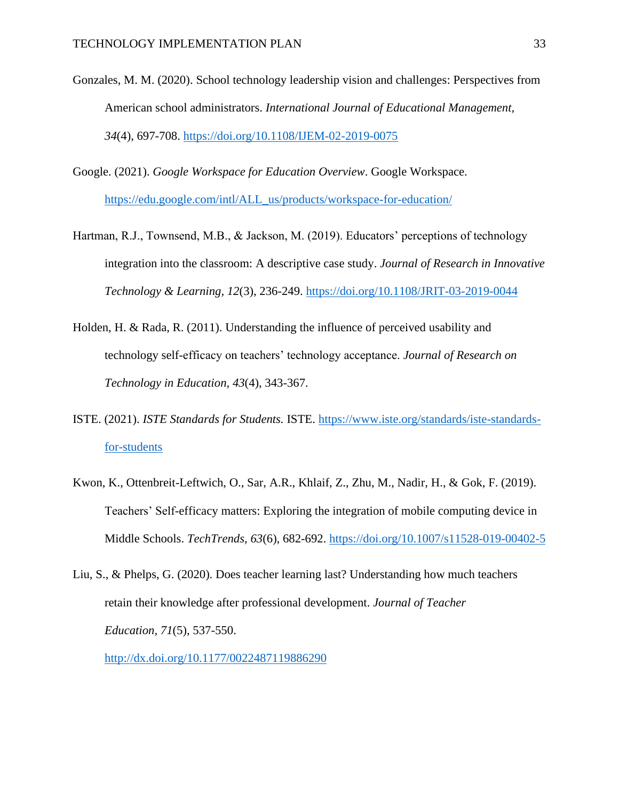- Gonzales, M. M. (2020). School technology leadership vision and challenges: Perspectives from American school administrators. *International Journal of Educational Management, 34*(4), 697-708.<https://doi.org/10.1108/IJEM-02-2019-0075>
- Google. (2021). *Google Workspace for Education Overview*. Google Workspace. [https://edu.google.com/intl/ALL\\_us/products/workspace-for-education/](https://edu.google.com/intl/ALL_us/products/workspace-for-education/)
- Hartman, R.J., Townsend, M.B., & Jackson, M. (2019). Educators' perceptions of technology integration into the classroom: A descriptive case study. *Journal of Research in Innovative Technology & Learning, 12*(3), 236-249.<https://doi.org/10.1108/JRIT-03-2019-0044>
- Holden, H. & Rada, R. (2011). Understanding the influence of perceived usability and technology self-efficacy on teachers' technology acceptance. *Journal of Research on Technology in Education, 43*(4), 343-367.
- ISTE. (2021). *ISTE Standards for Students.* ISTE. [https://www.iste.org/standards/iste-standards](https://www.iste.org/standards/iste-standards-for-students)[for-students](https://www.iste.org/standards/iste-standards-for-students)
- Kwon, K., Ottenbreit-Leftwich, O., Sar, A.R., Khlaif, Z., Zhu, M., Nadir, H., & Gok, F. (2019). Teachers' Self-efficacy matters: Exploring the integration of mobile computing device in Middle Schools. *TechTrends, 63*(6), 682-692.<https://doi.org/10.1007/s11528-019-00402-5>
- Liu, S., & Phelps, G. (2020). Does teacher learning last? Understanding how much teachers retain their knowledge after professional development. *Journal of Teacher Education, 71*(5), 537-550.

<http://dx.doi.org/10.1177/0022487119886290>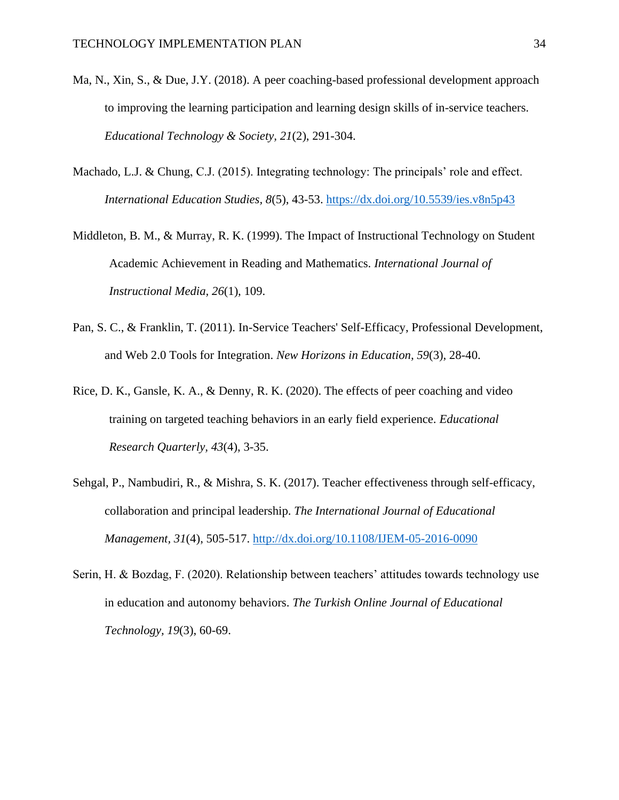- Ma, N., Xin, S., & Due, J.Y. (2018). A peer coaching-based professional development approach to improving the learning participation and learning design skills of in-service teachers. *Educational Technology & Society, 21*(2), 291-304.
- Machado, L.J. & Chung, C.J. (2015). Integrating technology: The principals' role and effect. *International Education Studies, 8*(5), 43-53.<https://dx.doi.org/10.5539/ies.v8n5p43>
- Middleton, B. M., & Murray, R. K. (1999). The Impact of Instructional Technology on Student Academic Achievement in Reading and Mathematics. *International Journal of Instructional Media, 26*(1), 109.
- Pan, S. C., & Franklin, T. (2011). In-Service Teachers' Self-Efficacy, Professional Development, and Web 2.0 Tools for Integration. *New Horizons in Education, 59*(3), 28-40.
- Rice, D. K., Gansle, K. A., & Denny, R. K. (2020). The effects of peer coaching and video training on targeted teaching behaviors in an early field experience. *Educational Research Quarterly, 43*(4), 3-35.
- Sehgal, P., Nambudiri, R., & Mishra, S. K. (2017). Teacher effectiveness through self-efficacy, collaboration and principal leadership. *The International Journal of Educational Management, 31*(4), 505-517.<http://dx.doi.org/10.1108/IJEM-05-2016-0090>
- Serin, H. & Bozdag, F. (2020). Relationship between teachers' attitudes towards technology use in education and autonomy behaviors. *The Turkish Online Journal of Educational Technology, 19*(3), 60-69.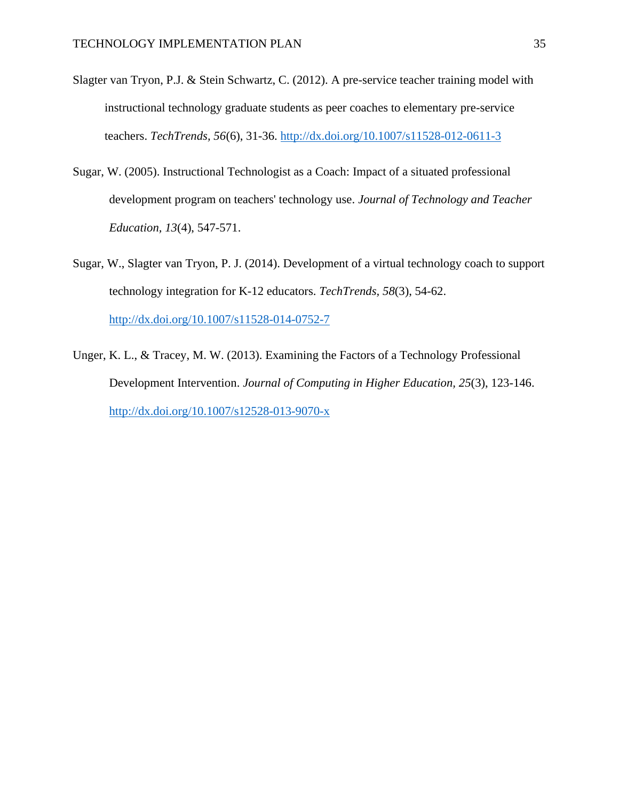- Slagter van Tryon, P.J. & Stein Schwartz, C. (2012). A pre-service teacher training model with instructional technology graduate students as peer coaches to elementary pre-service teachers. *TechTrends, 56*(6), 31-36.<http://dx.doi.org/10.1007/s11528-012-0611-3>
- Sugar, W. (2005). Instructional Technologist as a Coach: Impact of a situated professional development program on teachers' technology use. *Journal of Technology and Teacher Education, 13*(4), 547-571.
- Sugar, W., Slagter van Tryon, P. J. (2014). Development of a virtual technology coach to support technology integration for K-12 educators. *TechTrends, 58*(3), 54-62. <http://dx.doi.org/10.1007/s11528-014-0752-7>
- Unger, K. L., & Tracey, M. W. (2013). Examining the Factors of a Technology Professional Development Intervention. *Journal of Computing in Higher Education, 25*(3), 123-146. <http://dx.doi.org/10.1007/s12528-013-9070-x>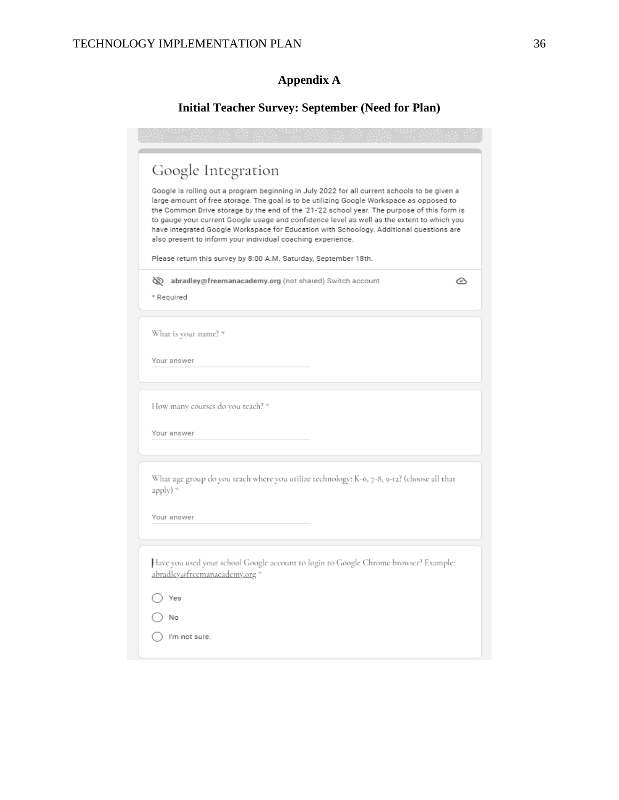# **Appendix A**

# **Initial Teacher Survey: September (Need for Plan)**

| Google Integration<br>Google is rolling out a program beginning in July 2022 for all current schools to be given a<br>large amount of free storage. The goal is to be utilizing Google Workspace as opposed to<br>the Common Drive storage by the end of the '21-'22 school year. The purpose of this form is<br>to gauge your current Google usage and confidence level as well as the extent to which you<br>have integrated Google Workspace for Education with Schoology. Additional questions are<br>also present to inform your individual coaching experience.<br>Please return this survey by 8:00 A.M. Saturday, September 18th. |
|-------------------------------------------------------------------------------------------------------------------------------------------------------------------------------------------------------------------------------------------------------------------------------------------------------------------------------------------------------------------------------------------------------------------------------------------------------------------------------------------------------------------------------------------------------------------------------------------------------------------------------------------|
| of abradley@freemanacademy.org (not shared) Switch account<br>ᢙ<br>* Required                                                                                                                                                                                                                                                                                                                                                                                                                                                                                                                                                             |
| What is your name? *<br>Your answer                                                                                                                                                                                                                                                                                                                                                                                                                                                                                                                                                                                                       |
| How many courses do you teach? *<br>Your answer                                                                                                                                                                                                                                                                                                                                                                                                                                                                                                                                                                                           |
| What age group do you teach where you utilize technology: K-6, 7-8, 9-12? (choose all that<br>apply) *<br>Your answer                                                                                                                                                                                                                                                                                                                                                                                                                                                                                                                     |
| Have you used your school Google account to login to Google Chrome browser? Example:<br>abradley@freemanacademy.org *<br>Yes<br>No<br>I'm not sure.                                                                                                                                                                                                                                                                                                                                                                                                                                                                                       |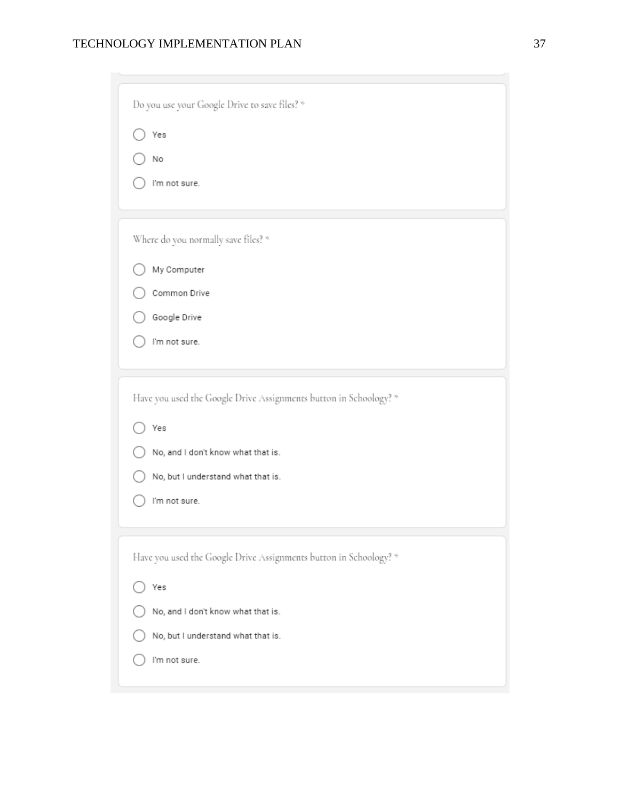| Do you use your Google Drive to save files? *                     |
|-------------------------------------------------------------------|
| Yes                                                               |
| No                                                                |
| I'm not sure.                                                     |
|                                                                   |
| Where do you normally save files? *                               |
| My Computer                                                       |
| Common Drive                                                      |
| Google Drive                                                      |
| I'm not sure.                                                     |
|                                                                   |
| Have you used the Google Drive Assignments button in Schoology? * |
| Yes                                                               |
| No, and I don't know what that is.                                |
| No, but I understand what that is.                                |
| I'm not sure.                                                     |
|                                                                   |
| Have you used the Google Drive Assignments button in Schoology? * |
| Yes                                                               |
| No, and I don't know what that is.                                |
| No, but I understand what that is.                                |

 $\bigcirc$  I'm not sure.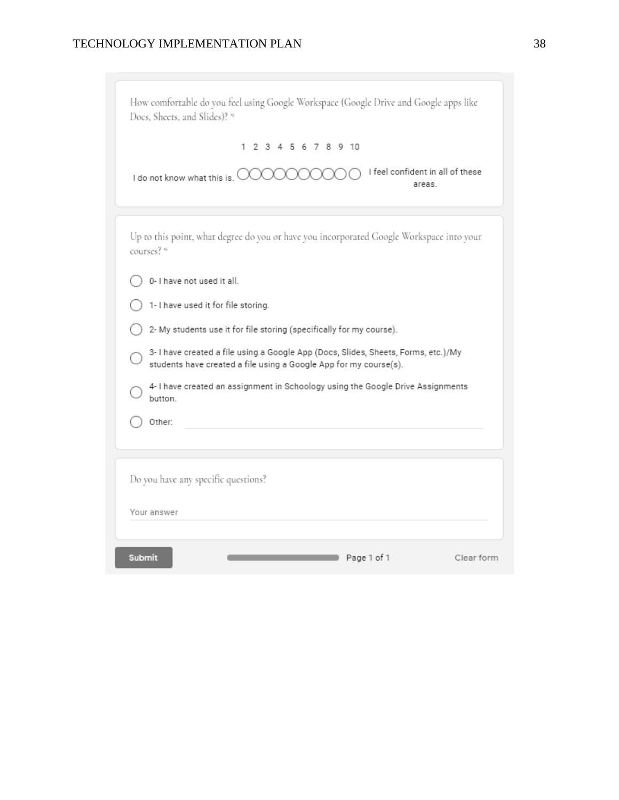| How comfortable do you feel using Google Workspace (Google Drive and Google apps like<br>Docs, Sheets, and Slides)? *                                   |
|---------------------------------------------------------------------------------------------------------------------------------------------------------|
| 1 2 3 4 5 6 7 8 9 10                                                                                                                                    |
| I feel confident in all of these<br>I do not know what this is.<br>areas.                                                                               |
| Up to this point, what degree do you or have you incorporated Google Workspace into your<br>courses? *                                                  |
| 0- I have not used it all.                                                                                                                              |
| 1- I have used it for file storing.                                                                                                                     |
| 2- My students use it for file storing (specifically for my course).                                                                                    |
| 3- I have created a file using a Google App (Docs, Slides, Sheets, Forms, etc.)/My<br>students have created a file using a Google App for my course(s). |
| 4- I have created an assignment in Schoology using the Google Drive Assignments<br>button.                                                              |
| Other:                                                                                                                                                  |
| Do you have any specific questions?                                                                                                                     |
| Your answer                                                                                                                                             |
| <b>Submit</b><br>Page 1 of 1<br>Clear form                                                                                                              |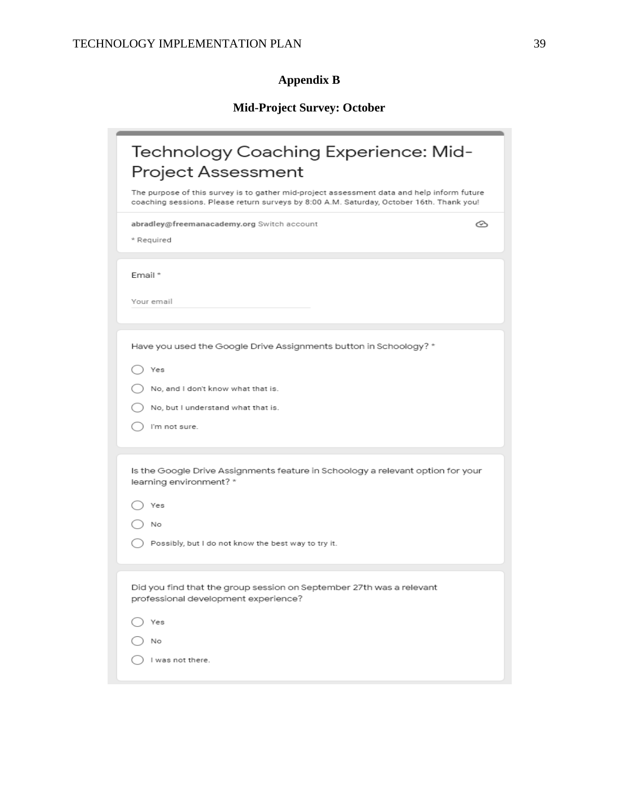# **Appendix B**

# **Mid-Project Survey: October**

| Technology Coaching Experience: Mid-<br>Project Assessment<br>The purpose of this survey is to gather mid-project assessment data and help inform future |
|----------------------------------------------------------------------------------------------------------------------------------------------------------|
| coaching sessions. Please return surveys by 8:00 A.M. Saturday, October 16th. Thank you!                                                                 |
| abradley@freemanacademy.org Switch account<br>♋<br>* Required                                                                                            |
| Email *                                                                                                                                                  |
| Your email                                                                                                                                               |
| Have you used the Google Drive Assignments button in Schoology? *                                                                                        |
| Yes                                                                                                                                                      |
| No, and I don't know what that is.                                                                                                                       |
| No, but I understand what that is.                                                                                                                       |
| I'm not sure.                                                                                                                                            |
| Is the Google Drive Assignments feature in Schoology a relevant option for your<br>learning environment? *                                               |
| Yes                                                                                                                                                      |
| No                                                                                                                                                       |
| Possibly, but I do not know the best way to try it.                                                                                                      |
| Did you find that the group session on September 27th was a relevant<br>professional development experience?                                             |
| Yes                                                                                                                                                      |
| No                                                                                                                                                       |
| I was not there.                                                                                                                                         |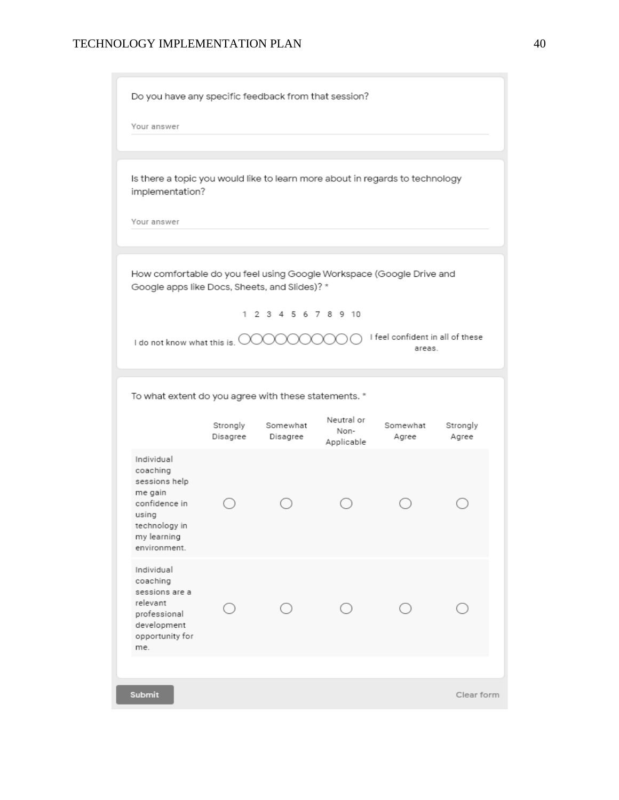Do you have any specific feedback from that session?

Your answer

Is there a topic you would like to learn more about in regards to technology implementation?

Your answer

How comfortable do you feel using Google Workspace (Google Drive and Google apps like Docs, Sheets, and Slides)? \*

1 2 3 4 5 6 7 8 9 10

I do not know what this is. 000000000 I feel confident in all of these

areas.

To what extent do you agree with these statements. \*

|                                                                                                                              | Strongly<br>Disagree | Somewhat<br>Disagree | Neutral or<br>Non-<br>Applicable | Somewhat<br>Agree | Strongly<br>Agree |  |
|------------------------------------------------------------------------------------------------------------------------------|----------------------|----------------------|----------------------------------|-------------------|-------------------|--|
| Individual<br>coaching<br>sessions help<br>me gain<br>confidence in<br>using<br>technology in<br>my learning<br>environment. |                      |                      |                                  |                   |                   |  |
| Individual<br>coaching<br>sessions are a<br>relevant<br>professional<br>development<br>opportunity for<br>me.                |                      |                      |                                  |                   |                   |  |
|                                                                                                                              |                      |                      |                                  |                   |                   |  |
| Submit                                                                                                                       |                      |                      |                                  |                   | Clear form        |  |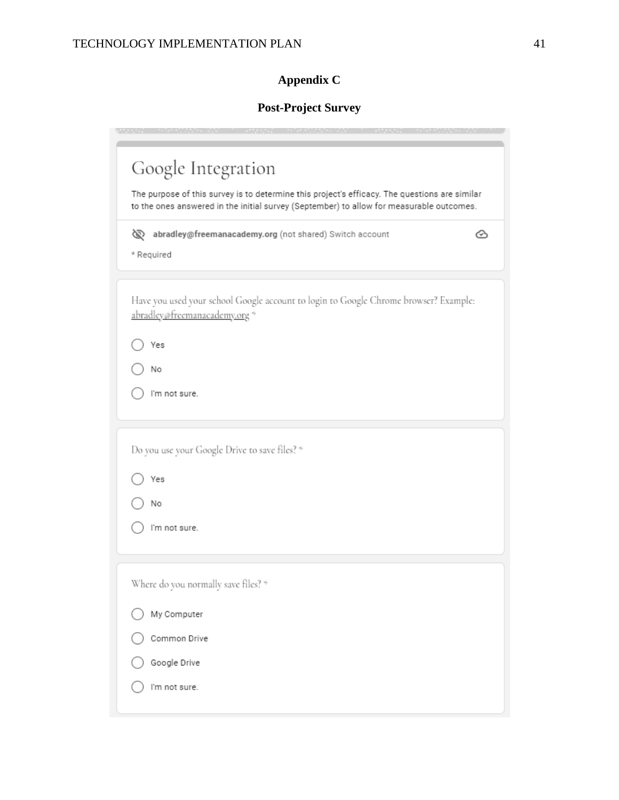# **Appendix C**

# **Post-Project Survey**

|  | Google Integration<br>The purpose of this survey is to determine this project's efficacy. The questions are similar<br>to the ones answered in the initial survey (September) to allow for measurable outcomes. |  |  |  |  |
|--|-----------------------------------------------------------------------------------------------------------------------------------------------------------------------------------------------------------------|--|--|--|--|
|  |                                                                                                                                                                                                                 |  |  |  |  |
|  | of abradley@freemanacademy.org (not shared) Switch account<br>↷<br>* Required                                                                                                                                   |  |  |  |  |
|  | Have you used your school Google account to login to Google Chrome browser? Example:<br>abradley@freemanacademy.org *                                                                                           |  |  |  |  |
|  | Yes                                                                                                                                                                                                             |  |  |  |  |
|  | No                                                                                                                                                                                                              |  |  |  |  |
|  | I'm not sure.                                                                                                                                                                                                   |  |  |  |  |
|  |                                                                                                                                                                                                                 |  |  |  |  |
|  | Do you use your Google Drive to save files? *                                                                                                                                                                   |  |  |  |  |
|  | Yes                                                                                                                                                                                                             |  |  |  |  |
|  | No                                                                                                                                                                                                              |  |  |  |  |
|  | I'm not sure.                                                                                                                                                                                                   |  |  |  |  |
|  | Where do you normally save files? *                                                                                                                                                                             |  |  |  |  |
|  | My Computer                                                                                                                                                                                                     |  |  |  |  |
|  | Common Drive                                                                                                                                                                                                    |  |  |  |  |
|  | Google Drive                                                                                                                                                                                                    |  |  |  |  |
|  |                                                                                                                                                                                                                 |  |  |  |  |